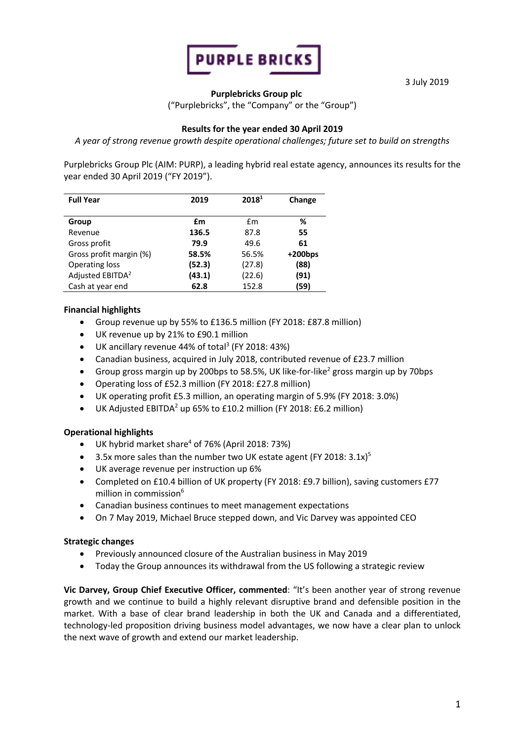

3 July 2019

### **Purplebricks Group plc**

("Purplebricks", the "Company" or the "Group")

### **Results for the year ended 30 April 2019**

*A year of strong revenue growth despite operational challenges; future set to build on strengths*

Purplebricks Group Plc (AIM: PURP), a leading hybrid real estate agency, announces its results for the year ended 30 April 2019 ("FY 2019").

| <b>Full Year</b>             | 2019   | 2018 <sup>1</sup> | Change     |
|------------------------------|--------|-------------------|------------|
| Group                        | £m     | £m                | ℅          |
| Revenue                      | 136.5  | 87.8              | 55         |
| Gross profit                 | 79.9   | 49.6              | 61         |
| Gross profit margin (%)      | 58.5%  | 56.5%             | $+200$ bps |
| Operating loss               | (52.3) | (27.8)            | (88)       |
| Adjusted EBITDA <sup>2</sup> | (43.1) | (22.6)            | (91)       |
| Cash at year end             | 62.8   | 152.8             | (59)       |

### **Financial highlights**

- Group revenue up by 55% to £136.5 million (FY 2018: £87.8 million)
- UK revenue up by 21% to £90.1 million
- UK ancillary revenue 44% of total<sup>3</sup> (FY 2018: 43%)
- Canadian business, acquired in July 2018, contributed revenue of £23.7 million
- Group gross margin up by 200bps to 58.5%, UK like-for-like<sup>2</sup> gross margin up by 70bps
- Operating loss of £52.3 million (FY 2018: £27.8 million)
- UK operating profit £5.3 million, an operating margin of 5.9% (FY 2018: 3.0%)
- UK Adjusted EBITDA<sup>2</sup> up 65% to £10.2 million (FY 2018: £6.2 million)

### **Operational highlights**

- UK hybrid market share $4$  of 76% (April 2018: 73%)
- 3.5x more sales than the number two UK estate agent (FY 2018:  $3.1x$ )<sup>5</sup>
- UK average revenue per instruction up 6%
- Completed on £10.4 billion of UK property (FY 2018: £9.7 billion), saving customers £77 million in commission<sup>6</sup>
- Canadian business continues to meet management expectations
- On 7 May 2019, Michael Bruce stepped down, and Vic Darvey was appointed CEO

### **Strategic changes**

- Previously announced closure of the Australian business in May 2019
- Today the Group announces its withdrawal from the US following a strategic review

**Vic Darvey, Group Chief Executive Officer, commented**: "It's been another year of strong revenue growth and we continue to build a highly relevant disruptive brand and defensible position in the market. With a base of clear brand leadership in both the UK and Canada and a differentiated, technology-led proposition driving business model advantages, we now have a clear plan to unlock the next wave of growth and extend our market leadership.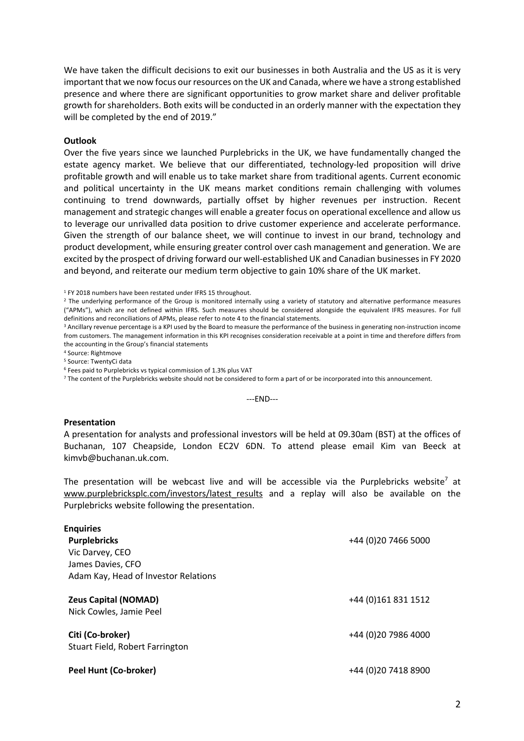We have taken the difficult decisions to exit our businesses in both Australia and the US as it is very important that we now focus our resources on the UK and Canada, where we have a strong established presence and where there are significant opportunities to grow market share and deliver profitable growth for shareholders. Both exits will be conducted in an orderly manner with the expectation they will be completed by the end of 2019."

#### **Outlook**

Over the five years since we launched Purplebricks in the UK, we have fundamentally changed the estate agency market. We believe that our differentiated, technology-led proposition will drive profitable growth and will enable us to take market share from traditional agents. Current economic and political uncertainty in the UK means market conditions remain challenging with volumes continuing to trend downwards, partially offset by higher revenues per instruction. Recent management and strategic changes will enable a greater focus on operational excellence and allow us to leverage our unrivalled data position to drive customer experience and accelerate performance. Given the strength of our balance sheet, we will continue to invest in our brand, technology and product development, while ensuring greater control over cash management and generation. We are excited by the prospect of driving forward our well-established UK and Canadian businesses in FY 2020 and beyond, and reiterate our medium term objective to gain 10% share of the UK market.

<sup>1</sup> FY 2018 numbers have been restated under IFRS 15 throughout.

<sup>2</sup> The underlying performance of the Group is monitored internally using a variety of statutory and alternative performance measures ("APMs"), which are not defined within IFRS. Such measures should be considered alongside the equivalent IFRS measures. For full definitions and reconciliations of APMs, please refer to note 4 to the financial statements.

<sup>3</sup> Ancillary revenue percentage is a KPI used by the Board to measure the performance of the business in generating non-instruction income from customers. The management information in this KPI recognises consideration receivable at a point in time and therefore differs from the accounting in the Group's financial statements

<sup>4</sup> Source: Rightmove

<sup>5</sup> Source: TwentyCi data

<sup>6</sup> Fees paid to Purplebricks vs typical commission of 1.3% plus VAT

 $7$  The content of the Purplebricks website should not be considered to form a part of or be incorporated into this announcement.

---END---

#### **Presentation**

A presentation for analysts and professional investors will be held at 09.30am (BST) at the offices of Buchanan, 107 Cheapside, London EC2V 6DN. To attend please email Kim van Beeck at kimvb@buchanan.uk.com.

The presentation will be webcast live and will be accessible via the Purplebricks website<sup>7</sup> at www.purplebricksplc.com/investors/latest results and a replay will also be available on the Purplebricks website following the presentation.

| <b>Enquiries</b><br><b>Purplebricks</b><br>Vic Darvey, CEO<br>James Davies, CFO<br>Adam Kay, Head of Investor Relations | +44 (0)20 7466 5000  |
|-------------------------------------------------------------------------------------------------------------------------|----------------------|
| <b>Zeus Capital (NOMAD)</b><br>Nick Cowles, Jamie Peel                                                                  | +44 (0)161 831 1512  |
| Citi (Co-broker)<br>Stuart Field, Robert Farrington                                                                     | +44 (0) 20 7986 4000 |
| Peel Hunt (Co-broker)                                                                                                   | +44 (0)20 7418 8900  |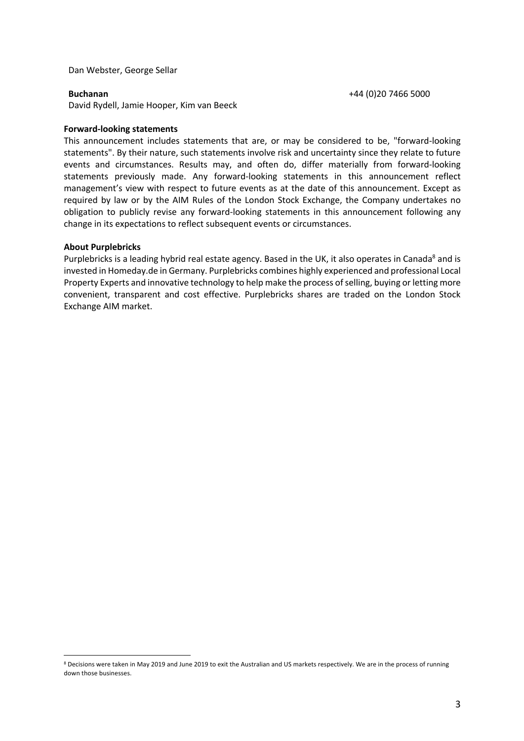Dan Webster, George Sellar

**Buchanan** +44 (0)20 7466 5000

David Rydell, Jamie Hooper, Kim van Beeck

#### **Forward-looking statements**

This announcement includes statements that are, or may be considered to be, "forward-looking statements". By their nature, such statements involve risk and uncertainty since they relate to future events and circumstances. Results may, and often do, differ materially from forward-looking statements previously made. Any forward-looking statements in this announcement reflect management's view with respect to future events as at the date of this announcement. Except as required by law or by the AIM Rules of the London Stock Exchange, the Company undertakes no obligation to publicly revise any forward-looking statements in this announcement following any change in its expectations to reflect subsequent events or circumstances.

#### **About Purplebricks**

 $\overline{a}$ 

Purplebricks is a leading hybrid real estate agency. Based in the UK, it also operates in Canada<sup>8</sup> and is invested in Homeday.de in Germany. Purplebricks combines highly experienced and professional Local Property Experts and innovative technology to help make the process of selling, buying or letting more convenient, transparent and cost effective. Purplebricks shares are traded on the London Stock Exchange AIM market.

<sup>8</sup> Decisions were taken in May 2019 and June 2019 to exit the Australian and US markets respectively. We are in the process of running down those businesses.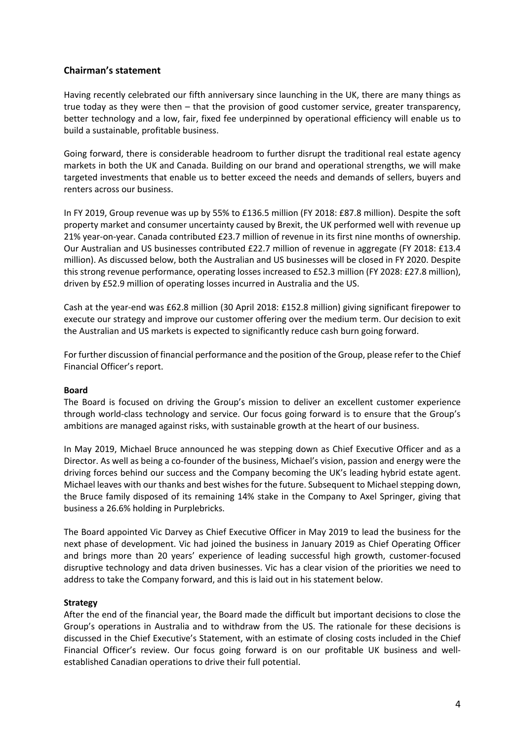### **Chairman's statement**

Having recently celebrated our fifth anniversary since launching in the UK, there are many things as true today as they were then – that the provision of good customer service, greater transparency, better technology and a low, fair, fixed fee underpinned by operational efficiency will enable us to build a sustainable, profitable business.

Going forward, there is considerable headroom to further disrupt the traditional real estate agency markets in both the UK and Canada. Building on our brand and operational strengths, we will make targeted investments that enable us to better exceed the needs and demands of sellers, buyers and renters across our business.

In FY 2019, Group revenue was up by 55% to £136.5 million (FY 2018: £87.8 million). Despite the soft property market and consumer uncertainty caused by Brexit, the UK performed well with revenue up 21% year-on-year. Canada contributed £23.7 million of revenue in its first nine months of ownership. Our Australian and US businesses contributed £22.7 million of revenue in aggregate (FY 2018: £13.4 million). As discussed below, both the Australian and US businesses will be closed in FY 2020. Despite this strong revenue performance, operating losses increased to £52.3 million (FY 2028: £27.8 million), driven by £52.9 million of operating losses incurred in Australia and the US.

Cash at the year-end was £62.8 million (30 April 2018: £152.8 million) giving significant firepower to execute our strategy and improve our customer offering over the medium term. Our decision to exit the Australian and US markets is expected to significantly reduce cash burn going forward.

For further discussion of financial performance and the position of the Group, please refer to the Chief Financial Officer's report.

#### **Board**

The Board is focused on driving the Group's mission to deliver an excellent customer experience through world-class technology and service. Our focus going forward is to ensure that the Group's ambitions are managed against risks, with sustainable growth at the heart of our business.

In May 2019, Michael Bruce announced he was stepping down as Chief Executive Officer and as a Director. As well as being a co-founder of the business, Michael's vision, passion and energy were the driving forces behind our success and the Company becoming the UK's leading hybrid estate agent. Michael leaves with our thanks and best wishes for the future. Subsequent to Michael stepping down, the Bruce family disposed of its remaining 14% stake in the Company to Axel Springer, giving that business a 26.6% holding in Purplebricks.

The Board appointed Vic Darvey as Chief Executive Officer in May 2019 to lead the business for the next phase of development. Vic had joined the business in January 2019 as Chief Operating Officer and brings more than 20 years' experience of leading successful high growth, customer-focused disruptive technology and data driven businesses. Vic has a clear vision of the priorities we need to address to take the Company forward, and this is laid out in his statement below.

#### **Strategy**

After the end of the financial year, the Board made the difficult but important decisions to close the Group's operations in Australia and to withdraw from the US. The rationale for these decisions is discussed in the Chief Executive's Statement, with an estimate of closing costs included in the Chief Financial Officer's review. Our focus going forward is on our profitable UK business and wellestablished Canadian operations to drive their full potential.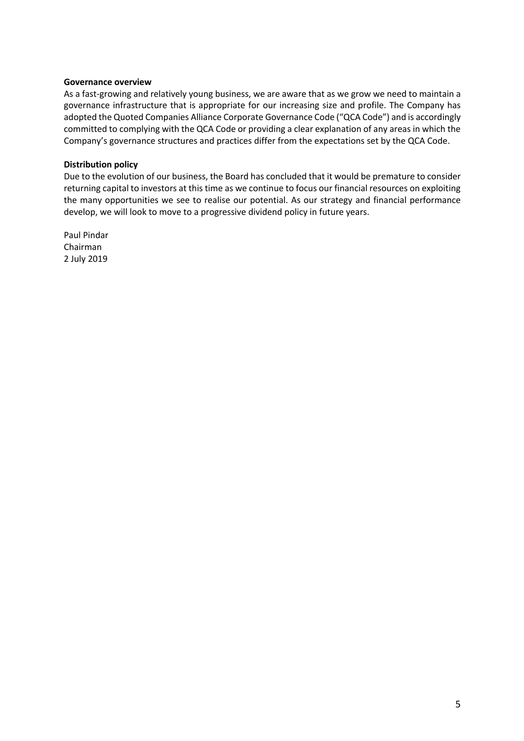### **Governance overview**

As a fast-growing and relatively young business, we are aware that as we grow we need to maintain a governance infrastructure that is appropriate for our increasing size and profile. The Company has adopted the Quoted Companies Alliance Corporate Governance Code ("QCA Code") and is accordingly committed to complying with the QCA Code or providing a clear explanation of any areas in which the Company's governance structures and practices differ from the expectations set by the QCA Code.

#### **Distribution policy**

Due to the evolution of our business, the Board has concluded that it would be premature to consider returning capital to investors at this time as we continue to focus our financial resources on exploiting the many opportunities we see to realise our potential. As our strategy and financial performance develop, we will look to move to a progressive dividend policy in future years.

Paul Pindar Chairman 2 July 2019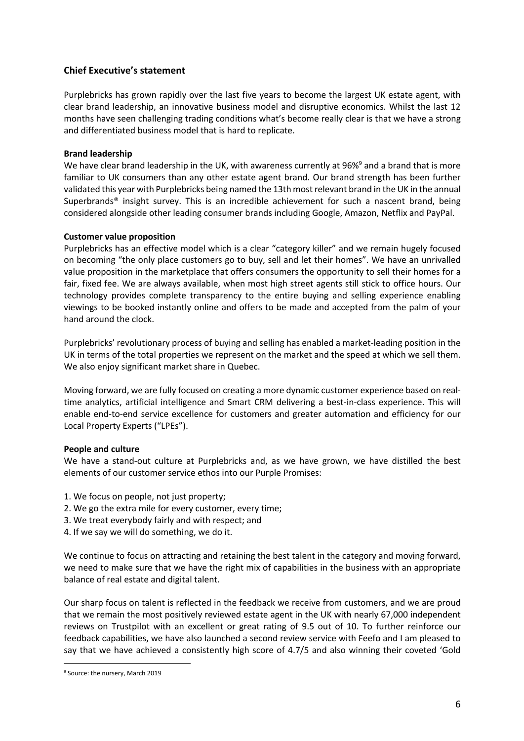## **Chief Executive's statement**

Purplebricks has grown rapidly over the last five years to become the largest UK estate agent, with clear brand leadership, an innovative business model and disruptive economics. Whilst the last 12 months have seen challenging trading conditions what's become really clear is that we have a strong and differentiated business model that is hard to replicate.

### **Brand leadership**

We have clear brand leadership in the UK, with awareness currently at 96%<sup>9</sup> and a brand that is more familiar to UK consumers than any other estate agent brand. Our brand strength has been further validated this year with Purplebricks being named the 13th most relevant brand in the UK in the annual Superbrands® insight survey. This is an incredible achievement for such a nascent brand, being considered alongside other leading consumer brands including Google, Amazon, Netflix and PayPal.

### **Customer value proposition**

Purplebricks has an effective model which is a clear "category killer" and we remain hugely focused on becoming "the only place customers go to buy, sell and let their homes". We have an unrivalled value proposition in the marketplace that offers consumers the opportunity to sell their homes for a fair, fixed fee. We are always available, when most high street agents still stick to office hours. Our technology provides complete transparency to the entire buying and selling experience enabling viewings to be booked instantly online and offers to be made and accepted from the palm of your hand around the clock.

Purplebricks' revolutionary process of buying and selling has enabled a market-leading position in the UK in terms of the total properties we represent on the market and the speed at which we sell them. We also enjoy significant market share in Quebec.

Moving forward, we are fully focused on creating a more dynamic customer experience based on realtime analytics, artificial intelligence and Smart CRM delivering a best-in-class experience. This will enable end-to-end service excellence for customers and greater automation and efficiency for our Local Property Experts ("LPEs").

### **People and culture**

We have a stand-out culture at Purplebricks and, as we have grown, we have distilled the best elements of our customer service ethos into our Purple Promises:

- 1. We focus on people, not just property:
- 2. We go the extra mile for every customer, every time;
- 3. We treat everybody fairly and with respect; and
- 4. If we say we will do something, we do it.

We continue to focus on attracting and retaining the best talent in the category and moving forward, we need to make sure that we have the right mix of capabilities in the business with an appropriate balance of real estate and digital talent.

Our sharp focus on talent is reflected in the feedback we receive from customers, and we are proud that we remain the most positively reviewed estate agent in the UK with nearly 67,000 independent reviews on Trustpilot with an excellent or great rating of 9.5 out of 10. To further reinforce our feedback capabilities, we have also launched a second review service with Feefo and I am pleased to say that we have achieved a consistently high score of 4.7/5 and also winning their coveted 'Gold

 $\overline{a}$ 

<sup>9</sup> Source: the nursery, March 2019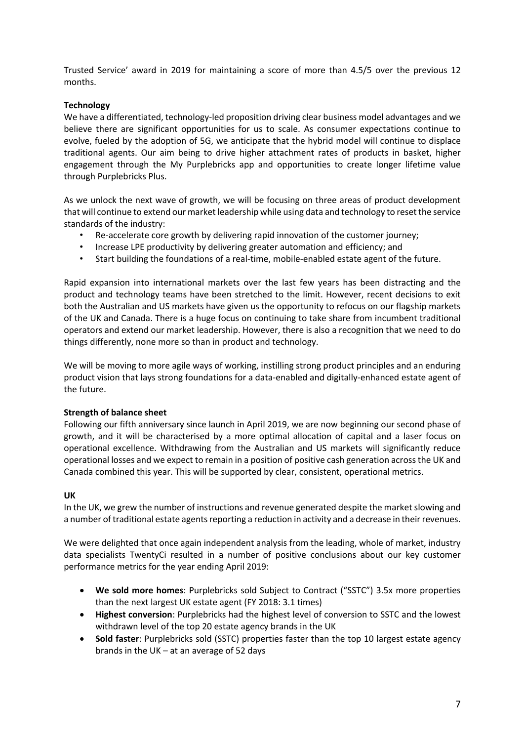Trusted Service' award in 2019 for maintaining a score of more than 4.5/5 over the previous 12 months.

### **Technology**

We have a differentiated, technology-led proposition driving clear business model advantages and we believe there are significant opportunities for us to scale. As consumer expectations continue to evolve, fueled by the adoption of 5G, we anticipate that the hybrid model will continue to displace traditional agents. Our aim being to drive higher attachment rates of products in basket, higher engagement through the My Purplebricks app and opportunities to create longer lifetime value through Purplebricks Plus.

As we unlock the next wave of growth, we will be focusing on three areas of product development that will continue to extend our market leadership while using data and technology to reset the service standards of the industry:

- Re-accelerate core growth by delivering rapid innovation of the customer journey;
- Increase LPE productivity by delivering greater automation and efficiency; and
- Start building the foundations of a real-time, mobile-enabled estate agent of the future.

Rapid expansion into international markets over the last few years has been distracting and the product and technology teams have been stretched to the limit. However, recent decisions to exit both the Australian and US markets have given us the opportunity to refocus on our flagship markets of the UK and Canada. There is a huge focus on continuing to take share from incumbent traditional operators and extend our market leadership. However, there is also a recognition that we need to do things differently, none more so than in product and technology.

We will be moving to more agile ways of working, instilling strong product principles and an enduring product vision that lays strong foundations for a data-enabled and digitally-enhanced estate agent of the future.

### **Strength of balance sheet**

Following our fifth anniversary since launch in April 2019, we are now beginning our second phase of growth, and it will be characterised by a more optimal allocation of capital and a laser focus on operational excellence. Withdrawing from the Australian and US markets will significantly reduce operational losses and we expect to remain in a position of positive cash generation across the UK and Canada combined this year. This will be supported by clear, consistent, operational metrics.

### **UK**

In the UK, we grew the number of instructions and revenue generated despite the market slowing and a number of traditional estate agents reporting a reduction in activity and a decrease in their revenues.

We were delighted that once again independent analysis from the leading, whole of market, industry data specialists TwentyCi resulted in a number of positive conclusions about our key customer performance metrics for the year ending April 2019:

- **We sold more homes**: Purplebricks sold Subject to Contract ("SSTC") 3.5x more properties than the next largest UK estate agent (FY 2018: 3.1 times)
- **Highest conversion**: Purplebricks had the highest level of conversion to SSTC and the lowest withdrawn level of the top 20 estate agency brands in the UK
- **Sold faster**: Purplebricks sold (SSTC) properties faster than the top 10 largest estate agency brands in the UK – at an average of 52 days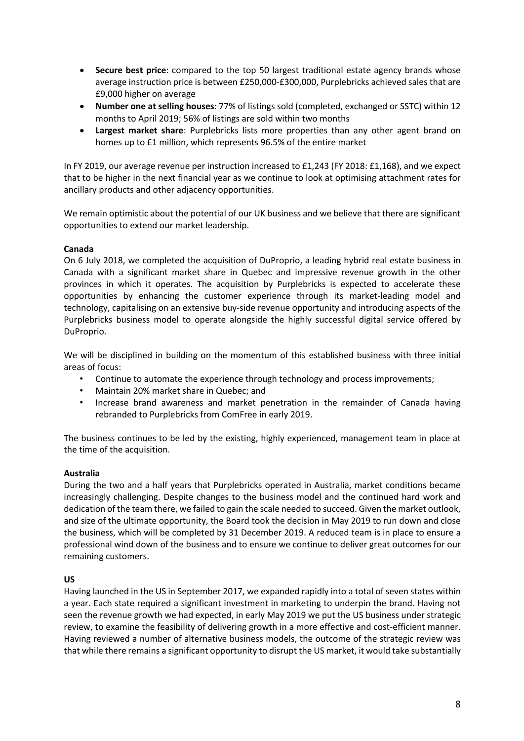- **Secure best price**: compared to the top 50 largest traditional estate agency brands whose average instruction price is between £250,000-£300,000, Purplebricks achieved sales that are £9,000 higher on average
- **Number one at selling houses**: 77% of listings sold (completed, exchanged or SSTC) within 12 months to April 2019; 56% of listings are sold within two months
- **Largest market share**: Purplebricks lists more properties than any other agent brand on homes up to £1 million, which represents 96.5% of the entire market

In FY 2019, our average revenue per instruction increased to £1,243 (FY 2018: £1,168), and we expect that to be higher in the next financial year as we continue to look at optimising attachment rates for ancillary products and other adjacency opportunities.

We remain optimistic about the potential of our UK business and we believe that there are significant opportunities to extend our market leadership.

### **Canada**

On 6 July 2018, we completed the acquisition of DuProprio, a leading hybrid real estate business in Canada with a significant market share in Quebec and impressive revenue growth in the other provinces in which it operates. The acquisition by Purplebricks is expected to accelerate these opportunities by enhancing the customer experience through its market-leading model and technology, capitalising on an extensive buy-side revenue opportunity and introducing aspects of the Purplebricks business model to operate alongside the highly successful digital service offered by DuProprio.

We will be disciplined in building on the momentum of this established business with three initial areas of focus:

- Continue to automate the experience through technology and process improvements;
- Maintain 20% market share in Quebec; and
- Increase brand awareness and market penetration in the remainder of Canada having rebranded to Purplebricks from ComFree in early 2019.

The business continues to be led by the existing, highly experienced, management team in place at the time of the acquisition.

### **Australia**

During the two and a half years that Purplebricks operated in Australia, market conditions became increasingly challenging. Despite changes to the business model and the continued hard work and dedication of the team there, we failed to gain the scale needed to succeed. Given the market outlook, and size of the ultimate opportunity, the Board took the decision in May 2019 to run down and close the business, which will be completed by 31 December 2019. A reduced team is in place to ensure a professional wind down of the business and to ensure we continue to deliver great outcomes for our remaining customers.

### **US**

Having launched in the US in September 2017, we expanded rapidly into a total of seven states within a year. Each state required a significant investment in marketing to underpin the brand. Having not seen the revenue growth we had expected, in early May 2019 we put the US business under strategic review, to examine the feasibility of delivering growth in a more effective and cost-efficient manner. Having reviewed a number of alternative business models, the outcome of the strategic review was that while there remains a significant opportunity to disrupt the US market, it would take substantially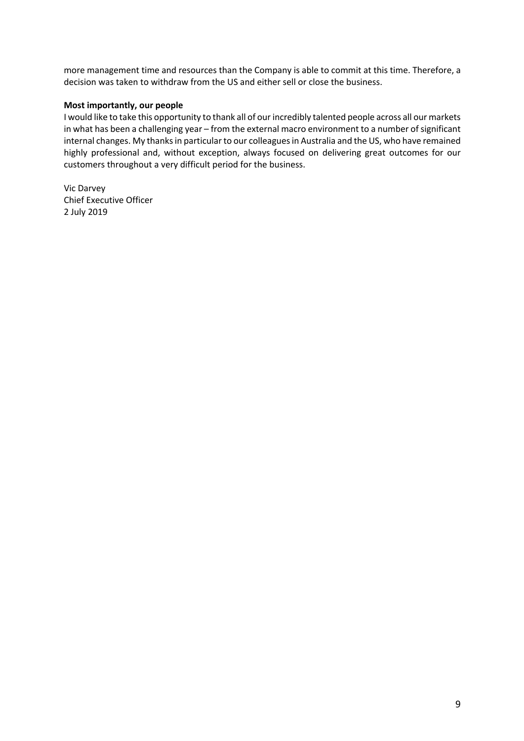more management time and resources than the Company is able to commit at this time. Therefore, a decision was taken to withdraw from the US and either sell or close the business.

### **Most importantly, our people**

I would like to take this opportunity to thank all of our incredibly talented people across all our markets in what has been a challenging year – from the external macro environment to a number of significant internal changes. My thanks in particular to our colleagues in Australia and the US, who have remained highly professional and, without exception, always focused on delivering great outcomes for our customers throughout a very difficult period for the business.

Vic Darvey Chief Executive Officer 2 July 2019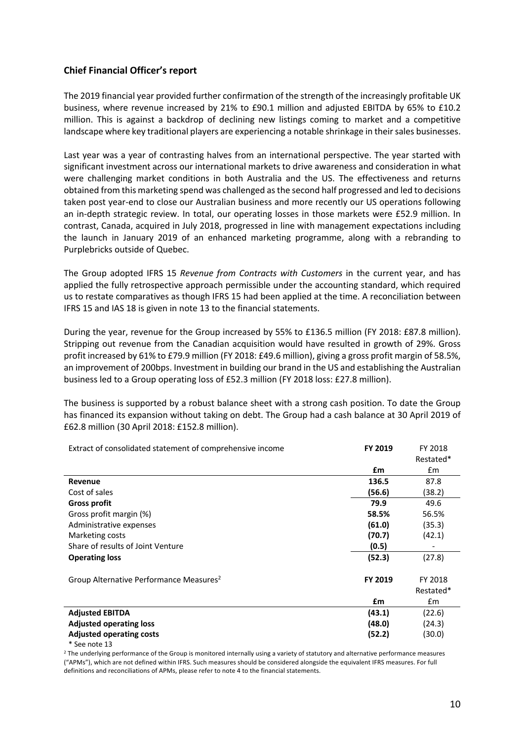## **Chief Financial Officer's report**

The 2019 financial year provided further confirmation of the strength of the increasingly profitable UK business, where revenue increased by 21% to £90.1 million and adjusted EBITDA by 65% to £10.2 million. This is against a backdrop of declining new listings coming to market and a competitive landscape where key traditional players are experiencing a notable shrinkage in their sales businesses.

Last year was a year of contrasting halves from an international perspective. The year started with significant investment across our international markets to drive awareness and consideration in what were challenging market conditions in both Australia and the US. The effectiveness and returns obtained from this marketing spend was challenged as the second half progressed and led to decisions taken post year-end to close our Australian business and more recently our US operations following an in-depth strategic review. In total, our operating losses in those markets were £52.9 million. In contrast, Canada, acquired in July 2018, progressed in line with management expectations including the launch in January 2019 of an enhanced marketing programme, along with a rebranding to Purplebricks outside of Quebec.

The Group adopted IFRS 15 *Revenue from Contracts with Customers* in the current year, and has applied the fully retrospective approach permissible under the accounting standard, which required us to restate comparatives as though IFRS 15 had been applied at the time. A reconciliation between IFRS 15 and IAS 18 is given in note 13 to the financial statements.

During the year, revenue for the Group increased by 55% to £136.5 million (FY 2018: £87.8 million). Stripping out revenue from the Canadian acquisition would have resulted in growth of 29%. Gross profit increased by 61% to £79.9 million (FY 2018: £49.6 million), giving a gross profit margin of 58.5%, an improvement of 200bps. Investment in building our brand in the US and establishing the Australian business led to a Group operating loss of £52.3 million (FY 2018 loss: £27.8 million).

The business is supported by a robust balance sheet with a strong cash position. To date the Group has financed its expansion without taking on debt. The Group had a cash balance at 30 April 2019 of £62.8 million (30 April 2018: £152.8 million).

| Extract of consolidated statement of comprehensive income | FY 2019 | FY 2018   |
|-----------------------------------------------------------|---------|-----------|
|                                                           |         | Restated* |
|                                                           | £m      | £m        |
| Revenue                                                   | 136.5   | 87.8      |
| Cost of sales                                             | (56.6)  | (38.2)    |
| <b>Gross profit</b>                                       | 79.9    | 49.6      |
| Gross profit margin (%)                                   | 58.5%   | 56.5%     |
| Administrative expenses                                   | (61.0)  | (35.3)    |
| Marketing costs                                           | (70.7)  | (42.1)    |
| Share of results of Joint Venture                         | (0.5)   |           |
| <b>Operating loss</b>                                     | (52.3)  | (27.8)    |
| Group Alternative Performance Measures <sup>2</sup>       | FY 2019 | FY 2018   |
|                                                           |         | Restated* |
|                                                           | £m      | £m        |
| <b>Adjusted EBITDA</b>                                    | (43.1)  | (22.6)    |
| <b>Adjusted operating loss</b>                            | (48.0)  | (24.3)    |
| <b>Adjusted operating costs</b>                           | (52.2)  | (30.0)    |

<sup>\*</sup> See note 13

<sup>2</sup> The underlying performance of the Group is monitored internally using a variety of statutory and alternative performance measures ("APMs"), which are not defined within IFRS. Such measures should be considered alongside the equivalent IFRS measures. For full definitions and reconciliations of APMs, please refer to note 4 to the financial statements.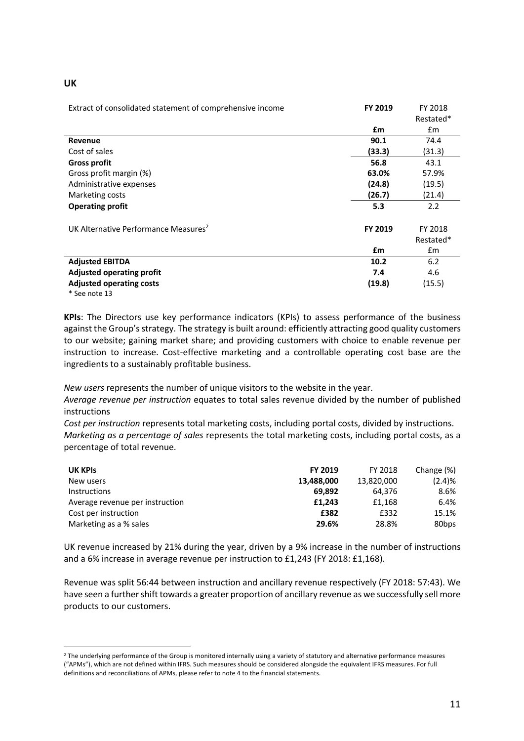| w<br>v |
|--------|
|--------|

 $\overline{a}$ 

| Extract of consolidated statement of comprehensive income | FY 2019 | FY 2018              |
|-----------------------------------------------------------|---------|----------------------|
|                                                           |         | Restated*            |
|                                                           | £m      | Em                   |
| <b>Revenue</b>                                            | 90.1    | 74.4                 |
| Cost of sales                                             | (33.3)  | (31.3)               |
| <b>Gross profit</b>                                       | 56.8    | 43.1                 |
| Gross profit margin (%)                                   | 63.0%   | 57.9%                |
| Administrative expenses                                   | (24.8)  | (19.5)               |
| Marketing costs                                           | (26.7)  | (21.4)               |
| <b>Operating profit</b>                                   | 5.3     | 2.2                  |
| UK Alternative Performance Measures <sup>2</sup>          | FY 2019 | FY 2018<br>Restated* |
|                                                           | £m      | £m                   |
| <b>Adjusted EBITDA</b>                                    | 10.2    | 6.2                  |
| <b>Adjusted operating profit</b>                          | 7.4     | 4.6                  |
| <b>Adjusted operating costs</b>                           | (19.8)  | (15.5)               |
| * See note 13                                             |         |                      |

**KPIs**: The Directors use key performance indicators (KPIs) to assess performance of the business against the Group's strategy. The strategy is built around: efficiently attracting good quality customers to our website; gaining market share; and providing customers with choice to enable revenue per instruction to increase. Cost-effective marketing and a controllable operating cost base are the ingredients to a sustainably profitable business.

*New users* represents the number of unique visitors to the website in the year.

*Average revenue per instruction* equates to total sales revenue divided by the number of published instructions

*Cost per instruction* represents total marketing costs, including portal costs, divided by instructions. *Marketing as a percentage of sales* represents the total marketing costs, including portal costs, as a percentage of total revenue.

| <b>UK KPIS</b>                  | FY 2019    | FY 2018    | Change (%) |
|---------------------------------|------------|------------|------------|
| New users                       | 13.488.000 | 13,820,000 | (2.4)%     |
| <b>Instructions</b>             | 69.892     | 64.376     | 8.6%       |
| Average revenue per instruction | £1.243     | £1.168     | 6.4%       |
| Cost per instruction            | £382       | £332       | 15.1%      |
| Marketing as a % sales          | 29.6%      | 28.8%      | 80bps      |

UK revenue increased by 21% during the year, driven by a 9% increase in the number of instructions and a 6% increase in average revenue per instruction to £1,243 (FY 2018: £1,168).

Revenue was split 56:44 between instruction and ancillary revenue respectively (FY 2018: 57:43). We have seen a further shift towards a greater proportion of ancillary revenue as we successfully sell more products to our customers.

<sup>&</sup>lt;sup>2</sup> The underlying performance of the Group is monitored internally using a variety of statutory and alternative performance measures ("APMs"), which are not defined within IFRS. Such measures should be considered alongside the equivalent IFRS measures. For full definitions and reconciliations of APMs, please refer to note 4 to the financial statements.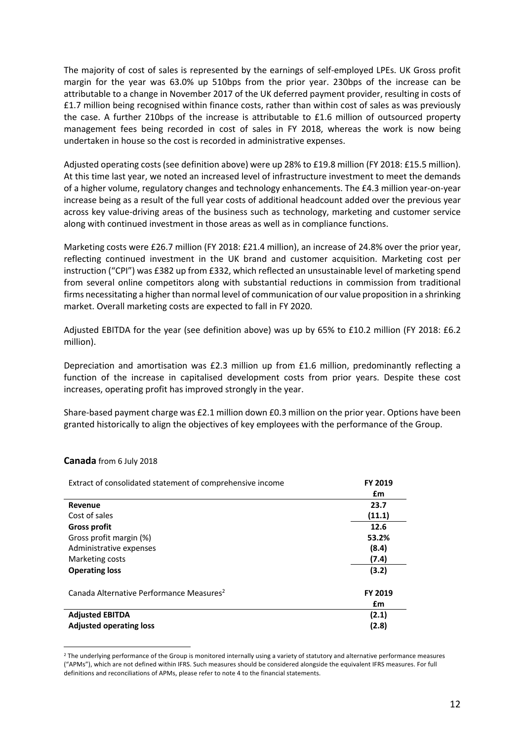The majority of cost of sales is represented by the earnings of self-employed LPEs. UK Gross profit margin for the year was 63.0% up 510bps from the prior year. 230bps of the increase can be attributable to a change in November 2017 of the UK deferred payment provider, resulting in costs of £1.7 million being recognised within finance costs, rather than within cost of sales as was previously the case. A further 210bps of the increase is attributable to £1.6 million of outsourced property management fees being recorded in cost of sales in FY 2018, whereas the work is now being undertaken in house so the cost is recorded in administrative expenses.

Adjusted operating costs (see definition above) were up 28% to £19.8 million (FY 2018: £15.5 million). At this time last year, we noted an increased level of infrastructure investment to meet the demands of a higher volume, regulatory changes and technology enhancements. The £4.3 million year-on-year increase being as a result of the full year costs of additional headcount added over the previous year across key value-driving areas of the business such as technology, marketing and customer service along with continued investment in those areas as well as in compliance functions.

Marketing costs were £26.7 million (FY 2018: £21.4 million), an increase of 24.8% over the prior year, reflecting continued investment in the UK brand and customer acquisition. Marketing cost per instruction ("CPI") was £382 up from £332, which reflected an unsustainable level of marketing spend from several online competitors along with substantial reductions in commission from traditional firms necessitating a higher than normal level of communication of our value proposition in a shrinking market. Overall marketing costs are expected to fall in FY 2020.

Adjusted EBITDA for the year (see definition above) was up by 65% to £10.2 million (FY 2018: £6.2 million).

Depreciation and amortisation was £2.3 million up from £1.6 million, predominantly reflecting a function of the increase in capitalised development costs from prior years. Despite these cost increases, operating profit has improved strongly in the year.

Share-based payment charge was £2.1 million down £0.3 million on the prior year. Options have been granted historically to align the objectives of key employees with the performance of the Group.

| Extract of consolidated statement of comprehensive income | FY 2019 |
|-----------------------------------------------------------|---------|
|                                                           | £m      |
| Revenue                                                   | 23.7    |
| Cost of sales                                             | (11.1)  |
| <b>Gross profit</b>                                       | 12.6    |
| Gross profit margin (%)                                   | 53.2%   |
| Administrative expenses                                   | (8.4)   |
| Marketing costs                                           | (7.4)   |
| <b>Operating loss</b>                                     | (3.2)   |
| Canada Alternative Performance Measures <sup>2</sup>      | FY 2019 |
|                                                           | £m      |
| <b>Adjusted EBITDA</b>                                    | (2.1)   |
| <b>Adjusted operating loss</b>                            | (2.8)   |

### **Canada** from 6 July 2018

 $\overline{a}$ 

<sup>&</sup>lt;sup>2</sup> The underlying performance of the Group is monitored internally using a variety of statutory and alternative performance measures ("APMs"), which are not defined within IFRS. Such measures should be considered alongside the equivalent IFRS measures. For full definitions and reconciliations of APMs, please refer to note 4 to the financial statements.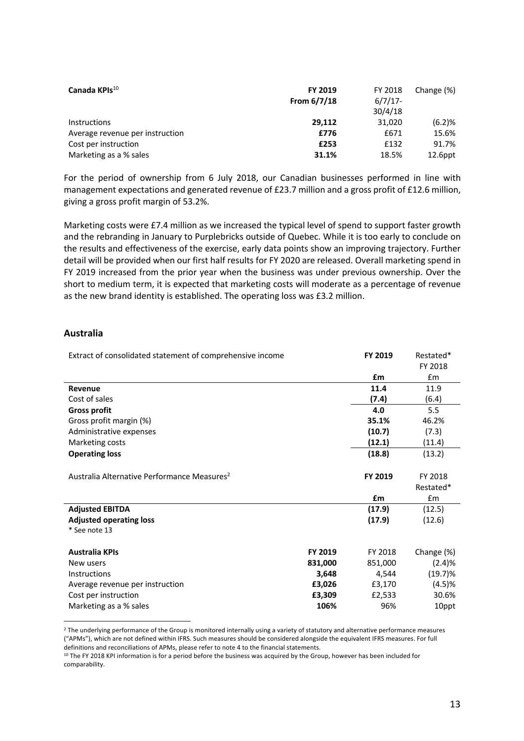| Canada KPIs <sup>10</sup>       | <b>FY 2019</b><br>From $6/7/18$ | FY 2018<br>$6/7/17$ - | Change (%) |
|---------------------------------|---------------------------------|-----------------------|------------|
|                                 |                                 | 30/4/18               |            |
| <b>Instructions</b>             | 29.112                          | 31.020                | (6.2)%     |
| Average revenue per instruction | £776                            | £671                  | 15.6%      |
| Cost per instruction            | £253                            | £132                  | 91.7%      |
| Marketing as a % sales          | 31.1%                           | 18.5%                 | $12.6$ ppt |

For the period of ownership from 6 July 2018, our Canadian businesses performed in line with management expectations and generated revenue of £23.7 million and a gross profit of £12.6 million, giving a gross profit margin of 53.2%.

Marketing costs were £7.4 million as we increased the typical level of spend to support faster growth and the rebranding in January to Purplebricks outside of Quebec. While it is too early to conclude on the results and effectiveness of the exercise, early data points show an improving trajectory. Further detail will be provided when our first half results for FY 2020 are released. Overall marketing spend in FY 2019 increased from the prior year when the business was under previous ownership. Over the short to medium term, it is expected that marketing costs will moderate as a percentage of revenue as the new brand identity is established. The operating loss was £3.2 million.

### **Australia**

 $\overline{a}$ 

| Extract of consolidated statement of comprehensive income |         | FY 2019 | Restated*<br>FY 2018 |
|-----------------------------------------------------------|---------|---------|----------------------|
|                                                           |         | £m      | $\mathsf{fm}$        |
| Revenue                                                   |         | 11.4    | 11.9                 |
| Cost of sales                                             |         | (7.4)   | (6.4)                |
| <b>Gross profit</b>                                       |         | 4.0     | 5.5                  |
| Gross profit margin (%)                                   |         | 35.1%   | 46.2%                |
| Administrative expenses                                   |         | (10.7)  | (7.3)                |
| Marketing costs                                           |         | (12.1)  | (11.4)               |
| <b>Operating loss</b>                                     |         | (18.8)  | (13.2)               |
|                                                           |         |         |                      |
| Australia Alternative Performance Measures <sup>2</sup>   |         | FY 2019 | FY 2018              |
|                                                           |         |         | Restated*            |
|                                                           |         | £m      | £m                   |
| <b>Adjusted EBITDA</b>                                    |         | (17.9)  | (12.5)               |
| <b>Adjusted operating loss</b>                            |         | (17.9)  | (12.6)               |
| * See note 13                                             |         |         |                      |
|                                                           |         |         |                      |
| <b>Australia KPIs</b>                                     | FY 2019 | FY 2018 | Change (%)           |
| New users                                                 | 831,000 | 851,000 | (2.4)%               |
| <b>Instructions</b>                                       | 3,648   | 4,544   | $(19.7)\%$           |
| Average revenue per instruction                           | £3,026  | £3,170  | (4.5)%               |
| Cost per instruction                                      | £3,309  | £2,533  | 30.6%                |
| Marketing as a % sales                                    | 106%    | 96%     | 10ppt                |

<sup>2</sup> The underlying performance of the Group is monitored internally using a variety of statutory and alternative performance measures ("APMs"), which are not defined within IFRS. Such measures should be considered alongside the equivalent IFRS measures. For full definitions and reconciliations of APMs, please refer to note 4 to the financial statements.

<sup>&</sup>lt;sup>10</sup> The FY 2018 KPI information is for a period before the business was acquired by the Group, however has been included for comparability.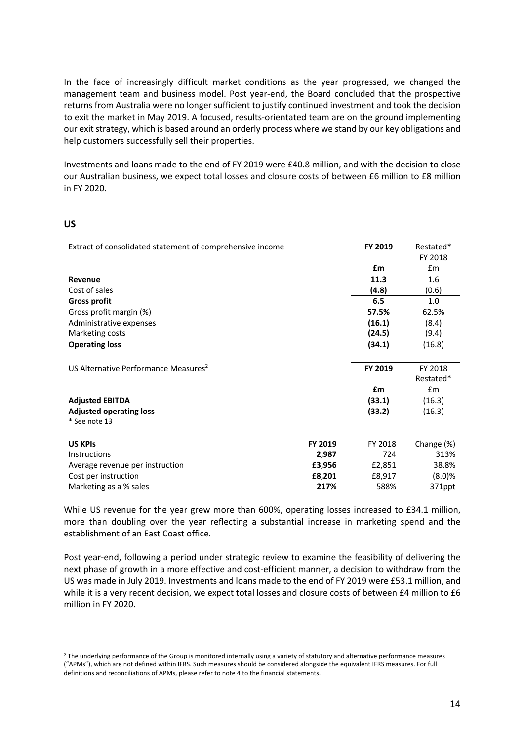In the face of increasingly difficult market conditions as the year progressed, we changed the management team and business model. Post year-end, the Board concluded that the prospective returns from Australia were no longer sufficient to justify continued investment and took the decision to exit the market in May 2019. A focused, results-orientated team are on the ground implementing our exit strategy, which is based around an orderly process where we stand by our key obligations and help customers successfully sell their properties.

Investments and loans made to the end of FY 2019 were £40.8 million, and with the decision to close our Australian business, we expect total losses and closure costs of between £6 million to £8 million in FY 2020.

### **US**

 $\overline{a}$ 

| Extract of consolidated statement of comprehensive income |         | FY 2019 | Restated*<br>FY 2018 |
|-----------------------------------------------------------|---------|---------|----------------------|
|                                                           |         | £m      | £m                   |
| Revenue                                                   |         | 11.3    | 1.6                  |
| Cost of sales                                             |         | (4.8)   | (0.6)                |
| <b>Gross profit</b>                                       |         | 6.5     | 1.0                  |
| Gross profit margin (%)                                   |         | 57.5%   | 62.5%                |
| Administrative expenses                                   |         | (16.1)  | (8.4)                |
| Marketing costs                                           |         | (24.5)  | (9.4)                |
| <b>Operating loss</b>                                     |         | (34.1)  | (16.8)               |
|                                                           |         |         |                      |
| US Alternative Performance Measures <sup>2</sup>          |         | FY 2019 | FY 2018              |
|                                                           |         |         | Restated*            |
|                                                           |         | £m      | £m                   |
| <b>Adjusted EBITDA</b>                                    |         | (33.1)  | (16.3)               |
| <b>Adjusted operating loss</b>                            |         | (33.2)  | (16.3)               |
| * See note 13                                             |         |         |                      |
|                                                           |         |         |                      |
| <b>US KPIS</b>                                            | FY 2019 | FY 2018 | Change (%)           |
| <b>Instructions</b>                                       | 2,987   | 724     | 313%                 |
| Average revenue per instruction                           | £3,956  | £2,851  | 38.8%                |
| Cost per instruction                                      | £8,201  | £8,917  | (8.0)%               |
| Marketing as a % sales                                    | 217%    | 588%    | 371ppt               |
|                                                           |         |         |                      |

While US revenue for the year grew more than 600%, operating losses increased to £34.1 million, more than doubling over the year reflecting a substantial increase in marketing spend and the establishment of an East Coast office.

Post year-end, following a period under strategic review to examine the feasibility of delivering the next phase of growth in a more effective and cost-efficient manner, a decision to withdraw from the US was made in July 2019. Investments and loans made to the end of FY 2019 were £53.1 million, and while it is a very recent decision, we expect total losses and closure costs of between £4 million to £6 million in FY 2020.

<sup>&</sup>lt;sup>2</sup> The underlying performance of the Group is monitored internally using a variety of statutory and alternative performance measures ("APMs"), which are not defined within IFRS. Such measures should be considered alongside the equivalent IFRS measures. For full definitions and reconciliations of APMs, please refer to note 4 to the financial statements.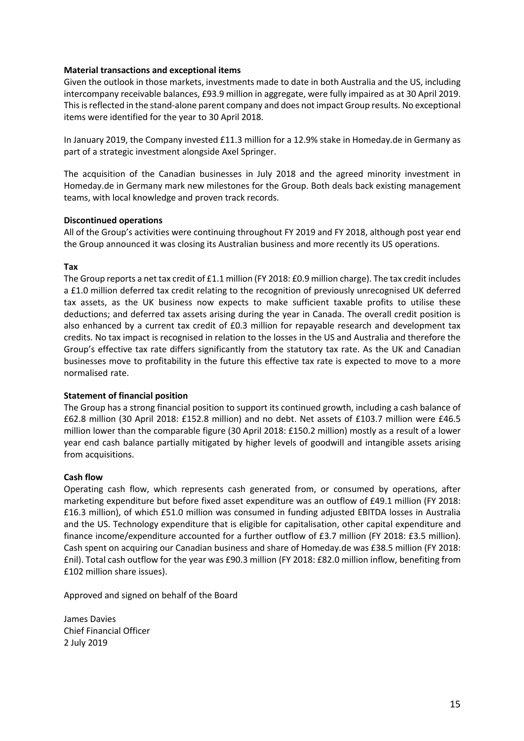### **Material transactions and exceptional items**

Given the outlook in those markets, investments made to date in both Australia and the US, including intercompany receivable balances, £93.9 million in aggregate, were fully impaired as at 30 April 2019. This is reflected in the stand-alone parent company and does not impact Group results. No exceptional items were identified for the year to 30 April 2018.

In January 2019, the Company invested £11.3 million for a 12.9% stake in Homeday.de in Germany as part of a strategic investment alongside Axel Springer.

The acquisition of the Canadian businesses in July 2018 and the agreed minority investment in Homeday.de in Germany mark new milestones for the Group. Both deals back existing management teams, with local knowledge and proven track records.

### **Discontinued operations**

All of the Group's activities were continuing throughout FY 2019 and FY 2018, although post year end the Group announced it was closing its Australian business and more recently its US operations.

### **Tax**

The Group reports a net tax credit of £1.1 million (FY 2018: £0.9 million charge). The tax credit includes a £1.0 million deferred tax credit relating to the recognition of previously unrecognised UK deferred tax assets, as the UK business now expects to make sufficient taxable profits to utilise these deductions; and deferred tax assets arising during the year in Canada. The overall credit position is also enhanced by a current tax credit of £0.3 million for repayable research and development tax credits. No tax impact is recognised in relation to the losses in the US and Australia and therefore the Group's effective tax rate differs significantly from the statutory tax rate. As the UK and Canadian businesses move to profitability in the future this effective tax rate is expected to move to a more normalised rate.

### **Statement of financial position**

The Group has a strong financial position to support its continued growth, including a cash balance of £62.8 million (30 April 2018: £152.8 million) and no debt. Net assets of £103.7 million were £46.5 million lower than the comparable figure (30 April 2018: £150.2 million) mostly as a result of a lower year end cash balance partially mitigated by higher levels of goodwill and intangible assets arising from acquisitions.

### **Cash flow**

Operating cash flow, which represents cash generated from, or consumed by operations, after marketing expenditure but before fixed asset expenditure was an outflow of £49.1 million (FY 2018: £16.3 million), of which £51.0 million was consumed in funding adjusted EBITDA losses in Australia and the US. Technology expenditure that is eligible for capitalisation, other capital expenditure and finance income/expenditure accounted for a further outflow of £3.7 million (FY 2018: £3.5 million). Cash spent on acquiring our Canadian business and share of Homeday.de was £38.5 million (FY 2018: £nil). Total cash outflow for the year was £90.3 million (FY 2018: £82.0 million inflow, benefiting from £102 million share issues).

Approved and signed on behalf of the Board

James Davies Chief Financial Officer 2 July 2019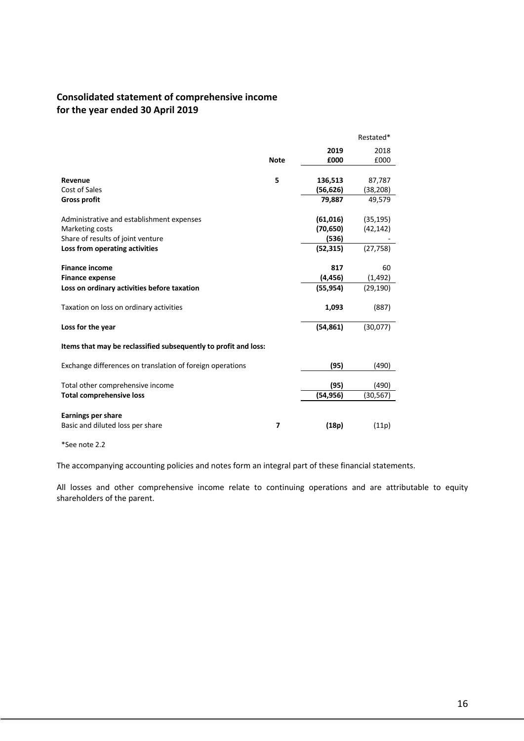# **Consolidated statement of comprehensive income for the year ended 30 April 2019**

|                                                                 |                          |           | Restated* |
|-----------------------------------------------------------------|--------------------------|-----------|-----------|
|                                                                 |                          | 2019      | 2018      |
|                                                                 | <b>Note</b>              | £000      | £000      |
|                                                                 |                          |           |           |
| Revenue                                                         | 5                        | 136,513   | 87,787    |
| Cost of Sales                                                   |                          | (56, 626) | (38, 208) |
| <b>Gross profit</b>                                             |                          | 79,887    | 49,579    |
|                                                                 |                          |           |           |
| Administrative and establishment expenses                       |                          | (61,016)  | (35, 195) |
| Marketing costs                                                 |                          | (70, 650) | (42, 142) |
| Share of results of joint venture                               |                          | (536)     |           |
| Loss from operating activities                                  |                          | (52, 315) | (27, 758) |
|                                                                 |                          |           |           |
| <b>Finance income</b>                                           |                          | 817       | 60        |
| <b>Finance expense</b>                                          |                          | (4, 456)  | (1, 492)  |
| Loss on ordinary activities before taxation                     |                          | (55, 954) | (29, 190) |
| Taxation on loss on ordinary activities                         |                          | 1,093     | (887)     |
|                                                                 |                          |           |           |
| Loss for the year                                               |                          | (54, 861) | (30,077)  |
|                                                                 |                          |           |           |
| Items that may be reclassified subsequently to profit and loss: |                          |           |           |
| Exchange differences on translation of foreign operations       |                          | (95)      | (490)     |
|                                                                 |                          |           |           |
| Total other comprehensive income                                |                          | (95)      | (490)     |
| <b>Total comprehensive loss</b>                                 |                          | (54,956)  | (30,567)  |
|                                                                 |                          |           |           |
| <b>Earnings per share</b>                                       |                          |           |           |
| Basic and diluted loss per share                                | $\overline{\phantom{a}}$ | (18p)     | (11p)     |
|                                                                 |                          |           |           |

\*See note 2.2

The accompanying accounting policies and notes form an integral part of these financial statements.

All losses and other comprehensive income relate to continuing operations and are attributable to equity shareholders of the parent.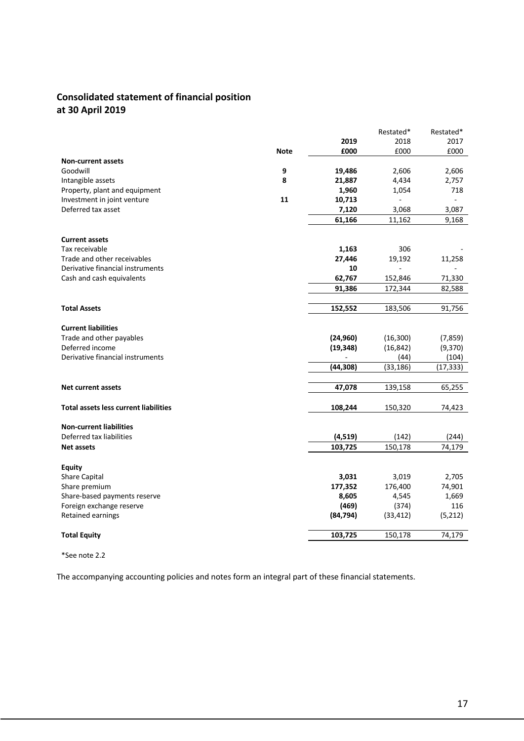# **Consolidated statement of financial position at 30 April 2019**

|                                              |             |           | Restated* | Restated* |
|----------------------------------------------|-------------|-----------|-----------|-----------|
|                                              |             | 2019      | 2018      | 2017      |
|                                              | <b>Note</b> | £000      | £000      | £000      |
| <b>Non-current assets</b>                    |             |           |           |           |
| Goodwill                                     | 9           | 19,486    | 2,606     | 2,606     |
| Intangible assets                            | 8           | 21,887    | 4,434     | 2,757     |
| Property, plant and equipment                |             | 1,960     | 1,054     | 718       |
| Investment in joint venture                  | 11          | 10,713    |           |           |
| Deferred tax asset                           |             | 7,120     | 3,068     | 3,087     |
|                                              |             | 61,166    | 11,162    | 9,168     |
|                                              |             |           |           |           |
| <b>Current assets</b>                        |             |           |           |           |
| Tax receivable                               |             | 1,163     | 306       |           |
| Trade and other receivables                  |             | 27,446    | 19,192    | 11,258    |
| Derivative financial instruments             |             | 10        |           |           |
| Cash and cash equivalents                    |             | 62,767    | 152,846   | 71,330    |
|                                              |             | 91,386    | 172,344   | 82,588    |
|                                              |             |           |           |           |
| <b>Total Assets</b>                          |             | 152,552   | 183,506   | 91,756    |
|                                              |             |           |           |           |
| <b>Current liabilities</b>                   |             |           |           |           |
| Trade and other payables                     |             | (24, 960) | (16, 300) | (7, 859)  |
| Deferred income                              |             | (19, 348) | (16, 842) | (9,370)   |
| Derivative financial instruments             |             |           | (44)      | (104)     |
|                                              |             | (44, 308) | (33, 186) | (17, 333) |
|                                              |             |           |           |           |
| <b>Net current assets</b>                    |             | 47,078    | 139,158   | 65,255    |
|                                              |             |           |           |           |
| <b>Total assets less current liabilities</b> |             | 108,244   | 150,320   | 74,423    |
|                                              |             |           |           |           |
| <b>Non-current liabilities</b>               |             |           |           |           |
| Deferred tax liabilities                     |             | (4, 519)  | (142)     | (244)     |
| <b>Net assets</b>                            |             | 103,725   | 150,178   | 74,179    |
|                                              |             |           |           |           |
| <b>Equity</b>                                |             |           |           |           |
| <b>Share Capital</b>                         |             | 3,031     | 3,019     | 2,705     |
| Share premium                                |             | 177,352   | 176,400   | 74,901    |
| Share-based payments reserve                 |             | 8,605     | 4,545     | 1,669     |
| Foreign exchange reserve                     |             | (469)     | (374)     | 116       |
| Retained earnings                            |             | (84, 794) | (33, 412) | (5, 212)  |
|                                              |             |           |           |           |
| <b>Total Equity</b>                          |             | 103,725   | 150,178   | 74,179    |
|                                              |             |           |           |           |

\*See note 2.2

The accompanying accounting policies and notes form an integral part of these financial statements.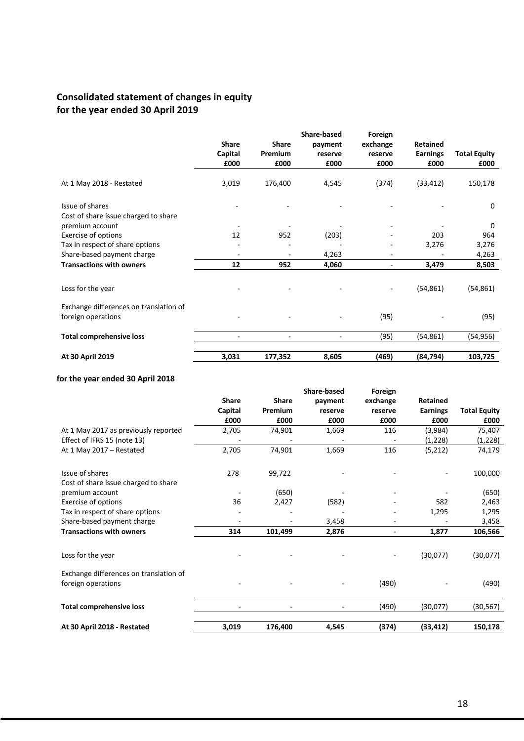# **Consolidated statement of changes in equity for the year ended 30 April 2019**

|                                        |                |                | Share-based | Foreign                  |                 |                     |
|----------------------------------------|----------------|----------------|-------------|--------------------------|-----------------|---------------------|
|                                        | <b>Share</b>   | <b>Share</b>   | payment     | exchange                 | <b>Retained</b> |                     |
|                                        | Capital        | Premium        | reserve     | reserve                  | <b>Earnings</b> | <b>Total Equity</b> |
|                                        | £000           | £000           | £000        | £000                     | £000            | £000                |
| At 1 May 2018 - Restated               | 3,019          | 176,400        | 4,545       | (374)                    | (33, 412)       | 150,178             |
| Issue of shares                        |                |                |             |                          |                 | $\Omega$            |
| Cost of share issue charged to share   |                |                |             |                          |                 |                     |
| premium account                        |                |                |             |                          |                 | $\Omega$            |
| Exercise of options                    | 12             | 952            | (203)       |                          | 203             | 964                 |
| Tax in respect of share options        |                |                |             |                          | 3,276           | 3,276               |
| Share-based payment charge             |                |                | 4,263       |                          |                 | 4,263               |
| <b>Transactions with owners</b>        | 12             | 952            | 4,060       | $\overline{\phantom{a}}$ | 3,479           | 8,503               |
|                                        |                |                |             |                          |                 |                     |
| Loss for the year                      |                |                |             |                          | (54, 861)       | (54, 861)           |
| Exchange differences on translation of |                |                |             |                          |                 |                     |
| foreign operations                     |                |                |             | (95)                     |                 | (95)                |
| <b>Total comprehensive loss</b>        | $\blacksquare$ | $\blacksquare$ |             | (95)                     | (54, 861)       | (54,956)            |
|                                        |                |                |             |                          |                 |                     |
| At 30 April 2019                       | 3,031          | 177,352        | 8,605       | (469)                    | (84, 794)       | 103,725             |

### **for the year ended 30 April 2018**

|                                                              |              |              | <b>Share-based</b> | Foreign  |                 |                     |
|--------------------------------------------------------------|--------------|--------------|--------------------|----------|-----------------|---------------------|
|                                                              | <b>Share</b> | <b>Share</b> | payment            | exchange | <b>Retained</b> |                     |
|                                                              | Capital      | Premium      | reserve            | reserve  | <b>Earnings</b> | <b>Total Equity</b> |
|                                                              | £000         | £000         | £000               | £000     | £000            | £000                |
| At 1 May 2017 as previously reported                         | 2,705        | 74,901       | 1,669              | 116      | (3,984)         | 75,407              |
| Effect of IFRS 15 (note 13)                                  |              |              |                    |          | (1,228)         | (1,228)             |
| At 1 May 2017 - Restated                                     | 2,705        | 74,901       | 1,669              | 116      | (5, 212)        | 74,179              |
| Issue of shares                                              | 278          | 99,722       |                    |          |                 | 100,000             |
| Cost of share issue charged to share                         |              |              |                    |          |                 |                     |
| premium account                                              |              | (650)        |                    |          |                 | (650)               |
| Exercise of options                                          | 36           | 2,427        | (582)              |          | 582             | 2,463               |
| Tax in respect of share options                              |              |              |                    |          | 1,295           | 1,295               |
| Share-based payment charge                                   |              |              | 3,458              |          |                 | 3,458               |
| <b>Transactions with owners</b>                              | 314          | 101,499      | 2,876              | ٠        | 1,877           | 106,566             |
| Loss for the year                                            |              |              |                    |          | (30,077)        | (30,077)            |
| Exchange differences on translation of<br>foreign operations |              |              |                    | (490)    |                 | (490)               |
| <b>Total comprehensive loss</b>                              |              |              |                    | (490)    | (30,077)        | (30, 567)           |
|                                                              |              |              |                    |          |                 |                     |
| At 30 April 2018 - Restated                                  | 3,019        | 176,400      | 4,545              | (374)    | (33, 412)       | 150,178             |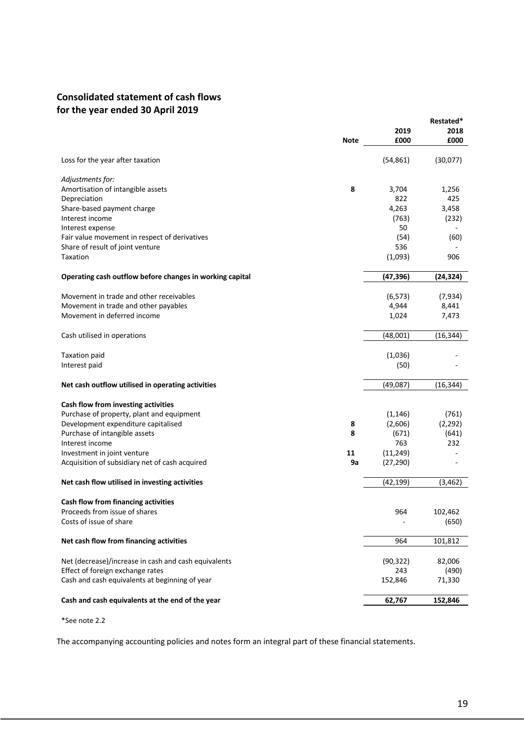# **Consolidated statement of cash flows for the year ended 30 April 2019**

|                                                          |             |           | Restated* |
|----------------------------------------------------------|-------------|-----------|-----------|
|                                                          |             | 2019      | 2018      |
|                                                          | <b>Note</b> | £000      | £000      |
| Loss for the year after taxation                         |             | (54, 861) | (30,077)  |
| Adjustments for:                                         |             |           |           |
| Amortisation of intangible assets                        | 8           | 3,704     | 1,256     |
| Depreciation                                             |             | 822       | 425       |
| Share-based payment charge                               |             | 4,263     | 3,458     |
| Interest income                                          |             | (763)     | (232)     |
| Interest expense                                         |             | 50        |           |
| Fair value movement in respect of derivatives            |             | (54)      | (60)      |
| Share of result of joint venture                         |             | 536       |           |
| Taxation                                                 |             | (1,093)   | 906       |
| Operating cash outflow before changes in working capital |             | (47,396)  | (24, 324) |
| Movement in trade and other receivables                  |             | (6, 573)  | (7,934)   |
| Movement in trade and other payables                     |             | 4,944     | 8,441     |
| Movement in deferred income                              |             | 1,024     | 7,473     |
|                                                          |             |           |           |
| Cash utilised in operations                              |             | (48,001)  | (16, 344) |
| <b>Taxation paid</b>                                     |             | (1,036)   |           |
| Interest paid                                            |             | (50)      |           |
|                                                          |             |           |           |
| Net cash outflow utilised in operating activities        |             | (49,087)  | (16, 344) |
| Cash flow from investing activities                      |             |           |           |
| Purchase of property, plant and equipment                |             | (1, 146)  | (761)     |
| Development expenditure capitalised                      | 8           | (2,606)   | (2, 292)  |
| Purchase of intangible assets                            | 8           | (671)     | (641)     |
| Interest income                                          |             | 763       | 232       |
| Investment in joint venture                              | 11          | (11, 249) |           |
| Acquisition of subsidiary net of cash acquired           | 9a          | (27, 290) |           |
|                                                          |             |           |           |
| Net cash flow utilised in investing activities           |             | (42, 199) | (3, 462)  |
| Cash flow from financing activities                      |             |           |           |
| Proceeds from issue of shares                            |             | 964       | 102,462   |
| Costs of issue of share                                  |             |           | (650)     |
| Net cash flow from financing activities                  |             | 964       | 101,812   |
| Net (decrease)/increase in cash and cash equivalents     |             | (90, 322) | 82,006    |
| Effect of foreign exchange rates                         |             | 243       | (490)     |
| Cash and cash equivalents at beginning of year           |             | 152,846   | 71,330    |
|                                                          |             |           |           |
| Cash and cash equivalents at the end of the year         |             | 62,767    | 152,846   |

\*See note 2.2

The accompanying accounting policies and notes form an integral part of these financial statements.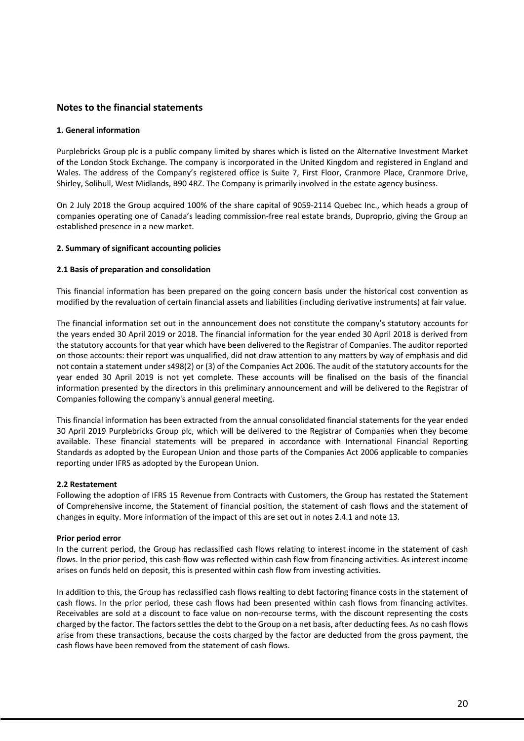### **Notes to the financial statements**

#### **1. General information**

Purplebricks Group plc is a public company limited by shares which is listed on the Alternative Investment Market of the London Stock Exchange. The company is incorporated in the United Kingdom and registered in England and Wales. The address of the Company's registered office is Suite 7, First Floor, Cranmore Place, Cranmore Drive, Shirley, Solihull, West Midlands, B90 4RZ. The Company is primarily involved in the estate agency business.

On 2 July 2018 the Group acquired 100% of the share capital of 9059-2114 Quebec Inc., which heads a group of companies operating one of Canada's leading commission-free real estate brands, Duproprio, giving the Group an established presence in a new market.

#### **2. Summary of significant accounting policies**

#### **2.1 Basis of preparation and consolidation**

This financial information has been prepared on the going concern basis under the historical cost convention as modified by the revaluation of certain financial assets and liabilities (including derivative instruments) at fair value.

The financial information set out in the announcement does not constitute the company's statutory accounts for the years ended 30 April 2019 or 2018. The financial information for the year ended 30 April 2018 is derived from the statutory accounts for that year which have been delivered to the Registrar of Companies. The auditor reported on those accounts: their report was unqualified, did not draw attention to any matters by way of emphasis and did not contain a statement under s498(2) or (3) of the Companies Act 2006. The audit of the statutory accounts for the year ended 30 April 2019 is not yet complete. These accounts will be finalised on the basis of the financial information presented by the directors in this preliminary announcement and will be delivered to the Registrar of Companies following the company's annual general meeting.

This financial information has been extracted from the annual consolidated financial statements for the year ended 30 April 2019 Purplebricks Group plc, which will be delivered to the Registrar of Companies when they become available. These financial statements will be prepared in accordance with International Financial Reporting Standards as adopted by the European Union and those parts of the Companies Act 2006 applicable to companies reporting under IFRS as adopted by the European Union.

#### **2.2 Restatement**

Following the adoption of IFRS 15 Revenue from Contracts with Customers, the Group has restated the Statement of Comprehensive income, the Statement of financial position, the statement of cash flows and the statement of changes in equity. More information of the impact of this are set out in notes 2.4.1 and note 13.

#### **Prior period error**

In the current period, the Group has reclassified cash flows relating to interest income in the statement of cash flows. In the prior period, this cash flow was reflected within cash flow from financing activities. As interest income arises on funds held on deposit, this is presented within cash flow from investing activities.

In addition to this, the Group has reclassified cash flows realting to debt factoring finance costs in the statement of cash flows. In the prior period, these cash flows had been presented within cash flows from financing activites. Receivables are sold at a discount to face value on non-recourse terms, with the discount representing the costs charged by the factor. The factors settles the debt to the Group on a net basis, after deducting fees. As no cash flows arise from these transactions, because the costs charged by the factor are deducted from the gross payment, the cash flows have been removed from the statement of cash flows.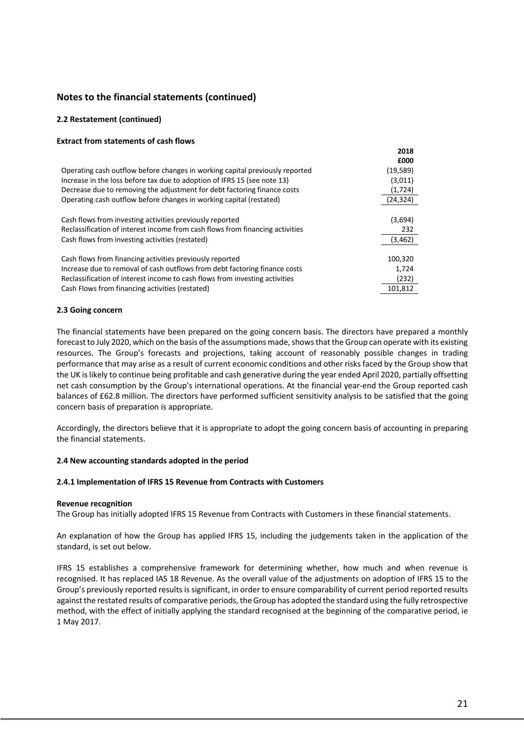#### **2.2 Restatement (continued)**

# **Extract from statements of cash flows** Operating cash outflow before changes in working capital previously reported (19,589) Increase in the loss before tax due to adoption of IFRS 15 (see note 13) (3,011) Decrease due to removing the adjustment for debt factoring finance costs (1,724) Operating cash outflow before changes in working capital (restated) (24,324) Cash flows from investing activities previously reported (3,694) Reclassification of interest income from cash flows from financing activities 232 Cash flows from investing activities (restated) (3,462) Cash flows from financing activities previously reported 100,320 and 100,320 Increase due to removal of cash outflows from debt factoring finance costs 1,724 Reclassification of interest income to cash flows from investing activities (232) Cash Flows from financing activities (restated) 101,812

#### **2.3 Going concern**

The financial statements have been prepared on the going concern basis. The directors have prepared a monthly forecast to July 2020, which on the basis of the assumptions made, shows that the Group can operate with its existing resources. The Group's forecasts and projections, taking account of reasonably possible changes in trading performance that may arise as a result of current economic conditions and other risks faced by the Group show that the UK is likely to continue being profitable and cash generative during the year ended April 2020, partially offsetting net cash consumption by the Group's international operations. At the financial year-end the Group reported cash balances of £62.8 million. The directors have performed sufficient sensitivity analysis to be satisfied that the going concern basis of preparation is appropriate.

Accordingly, the directors believe that it is appropriate to adopt the going concern basis of accounting in preparing the financial statements.

#### **2.4 New accounting standards adopted in the period**

#### **2.4.1 Implementation of IFRS 15 Revenue from Contracts with Customers**

#### **Revenue recognition**

The Group has initially adopted IFRS 15 Revenue from Contracts with Customers in these financial statements.

An explanation of how the Group has applied IFRS 15, including the judgements taken in the application of the standard, is set out below.

IFRS 15 establishes a comprehensive framework for determining whether, how much and when revenue is recognised. It has replaced IAS 18 Revenue. As the overall value of the adjustments on adoption of IFRS 15 to the Group's previously reported results is significant, in order to ensure comparability of current period reported results against the restated results of comparative periods, the Group has adopted the standard using the fully retrospective method, with the effect of initially applying the standard recognised at the beginning of the comparative period, ie 1 May 2017.

**2018 £000**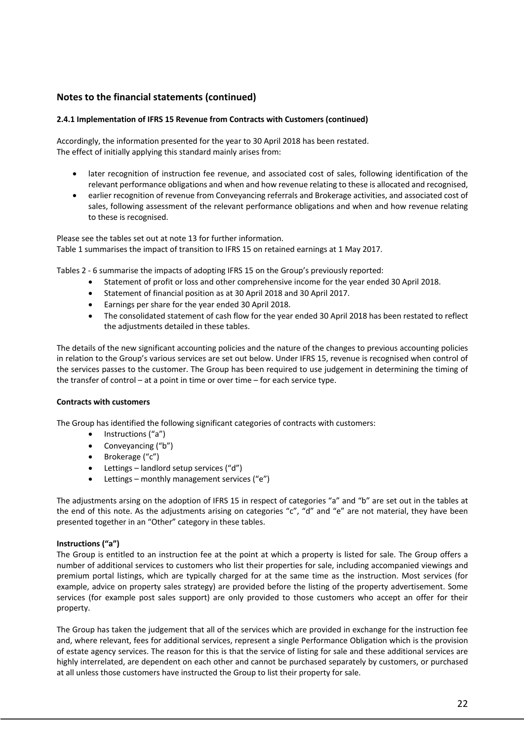### **2.4.1 Implementation of IFRS 15 Revenue from Contracts with Customers (continued)**

Accordingly, the information presented for the year to 30 April 2018 has been restated. The effect of initially applying this standard mainly arises from:

- later recognition of instruction fee revenue, and associated cost of sales, following identification of the relevant performance obligations and when and how revenue relating to these is allocated and recognised,
- earlier recognition of revenue from Conveyancing referrals and Brokerage activities, and associated cost of sales, following assessment of the relevant performance obligations and when and how revenue relating to these is recognised.

Please see the tables set out at note 13 for further information. Table 1 summarises the impact of transition to IFRS 15 on retained earnings at 1 May 2017.

Tables 2 - 6 summarise the impacts of adopting IFRS 15 on the Group's previously reported:

- Statement of profit or loss and other comprehensive income for the year ended 30 April 2018.
- Statement of financial position as at 30 April 2018 and 30 April 2017.
- Earnings per share for the year ended 30 April 2018.
- The consolidated statement of cash flow for the year ended 30 April 2018 has been restated to reflect the adjustments detailed in these tables.

The details of the new significant accounting policies and the nature of the changes to previous accounting policies in relation to the Group's various services are set out below. Under IFRS 15, revenue is recognised when control of the services passes to the customer. The Group has been required to use judgement in determining the timing of the transfer of control – at a point in time or over time – for each service type.

#### **Contracts with customers**

The Group has identified the following significant categories of contracts with customers:

- Instructions ("a")
- Conveyancing ("b")
- Brokerage ("c")
- Lettings landlord setup services ("d")
- Lettings monthly management services ("e")

The adjustments arsing on the adoption of IFRS 15 in respect of categories "a" and "b" are set out in the tables at the end of this note. As the adjustments arising on categories "c", "d" and "e" are not material, they have been presented together in an "Other" category in these tables.

#### **Instructions ("a")**

The Group is entitled to an instruction fee at the point at which a property is listed for sale. The Group offers a number of additional services to customers who list their properties for sale, including accompanied viewings and premium portal listings, which are typically charged for at the same time as the instruction. Most services (for example, advice on property sales strategy) are provided before the listing of the property advertisement. Some services (for example post sales support) are only provided to those customers who accept an offer for their property.

The Group has taken the judgement that all of the services which are provided in exchange for the instruction fee and, where relevant, fees for additional services, represent a single Performance Obligation which is the provision of estate agency services. The reason for this is that the service of listing for sale and these additional services are highly interrelated, are dependent on each other and cannot be purchased separately by customers, or purchased at all unless those customers have instructed the Group to list their property for sale.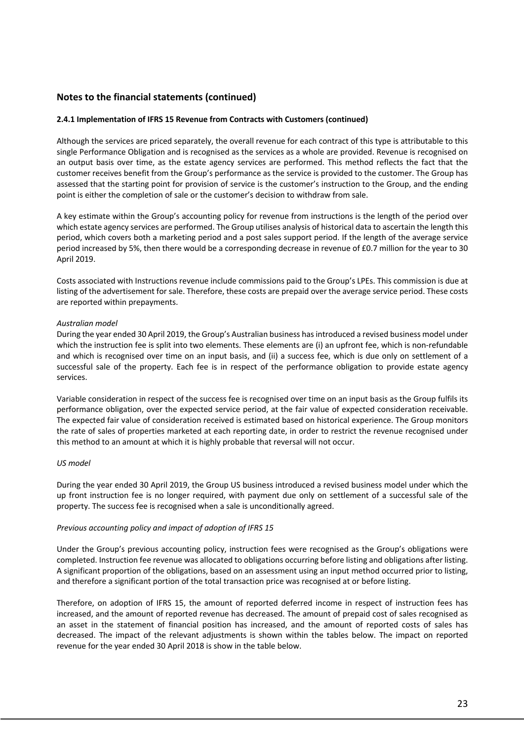#### **2.4.1 Implementation of IFRS 15 Revenue from Contracts with Customers (continued)**

Although the services are priced separately, the overall revenue for each contract of this type is attributable to this single Performance Obligation and is recognised as the services as a whole are provided. Revenue is recognised on an output basis over time, as the estate agency services are performed. This method reflects the fact that the customer receives benefit from the Group's performance as the service is provided to the customer. The Group has assessed that the starting point for provision of service is the customer's instruction to the Group, and the ending point is either the completion of sale or the customer's decision to withdraw from sale.

A key estimate within the Group's accounting policy for revenue from instructions is the length of the period over which estate agency services are performed. The Group utilises analysis of historical data to ascertain the length this period, which covers both a marketing period and a post sales support period. If the length of the average service period increased by 5%, then there would be a corresponding decrease in revenue of £0.7 million for the year to 30 April 2019.

Costs associated with Instructions revenue include commissions paid to the Group's LPEs. This commission is due at listing of the advertisement for sale. Therefore, these costs are prepaid over the average service period. These costs are reported within prepayments.

#### *Australian model*

During the year ended 30 April 2019, the Group's Australian business has introduced a revised business model under which the instruction fee is split into two elements. These elements are (i) an upfront fee, which is non-refundable and which is recognised over time on an input basis, and (ii) a success fee, which is due only on settlement of a successful sale of the property. Each fee is in respect of the performance obligation to provide estate agency services.

Variable consideration in respect of the success fee is recognised over time on an input basis as the Group fulfils its performance obligation, over the expected service period, at the fair value of expected consideration receivable. The expected fair value of consideration received is estimated based on historical experience. The Group monitors the rate of sales of properties marketed at each reporting date, in order to restrict the revenue recognised under this method to an amount at which it is highly probable that reversal will not occur.

#### *US model*

During the year ended 30 April 2019, the Group US business introduced a revised business model under which the up front instruction fee is no longer required, with payment due only on settlement of a successful sale of the property. The success fee is recognised when a sale is unconditionally agreed.

#### *Previous accounting policy and impact of adoption of IFRS 15*

Under the Group's previous accounting policy, instruction fees were recognised as the Group's obligations were completed. Instruction fee revenue was allocated to obligations occurring before listing and obligations after listing. A significant proportion of the obligations, based on an assessment using an input method occurred prior to listing, and therefore a significant portion of the total transaction price was recognised at or before listing.

Therefore, on adoption of IFRS 15, the amount of reported deferred income in respect of instruction fees has increased, and the amount of reported revenue has decreased. The amount of prepaid cost of sales recognised as an asset in the statement of financial position has increased, and the amount of reported costs of sales has decreased. The impact of the relevant adjustments is shown within the tables below. The impact on reported revenue for the year ended 30 April 2018 is show in the table below.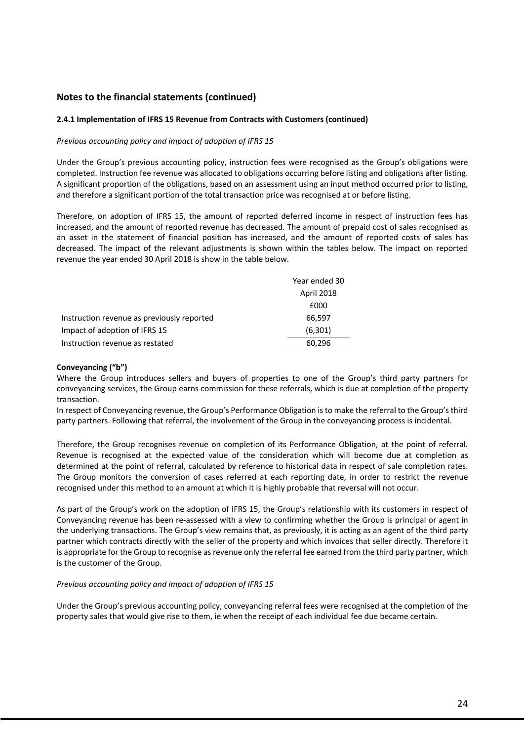#### **2.4.1 Implementation of IFRS 15 Revenue from Contracts with Customers (continued)**

#### *Previous accounting policy and impact of adoption of IFRS 15*

Under the Group's previous accounting policy, instruction fees were recognised as the Group's obligations were completed. Instruction fee revenue was allocated to obligations occurring before listing and obligations after listing. A significant proportion of the obligations, based on an assessment using an input method occurred prior to listing, and therefore a significant portion of the total transaction price was recognised at or before listing.

Therefore, on adoption of IFRS 15, the amount of reported deferred income in respect of instruction fees has increased, and the amount of reported revenue has decreased. The amount of prepaid cost of sales recognised as an asset in the statement of financial position has increased, and the amount of reported costs of sales has decreased. The impact of the relevant adjustments is shown within the tables below. The impact on reported revenue the year ended 30 April 2018 is show in the table below.

|                                            | Year ended 30 |
|--------------------------------------------|---------------|
|                                            | April 2018    |
|                                            | £000          |
| Instruction revenue as previously reported | 66,597        |
| Impact of adoption of IFRS 15              | (6,301)       |
| Instruction revenue as restated            | 60,296        |

#### **Conveyancing ("b")**

Where the Group introduces sellers and buyers of properties to one of the Group's third party partners for conveyancing services, the Group earns commission for these referrals, which is due at completion of the property transaction.

In respect of Conveyancing revenue, the Group's Performance Obligation is to make the referral to the Group's third party partners. Following that referral, the involvement of the Group in the conveyancing process is incidental.

Therefore, the Group recognises revenue on completion of its Performance Obligation, at the point of referral. Revenue is recognised at the expected value of the consideration which will become due at completion as determined at the point of referral, calculated by reference to historical data in respect of sale completion rates. The Group monitors the conversion of cases referred at each reporting date, in order to restrict the revenue recognised under this method to an amount at which it is highly probable that reversal will not occur.

As part of the Group's work on the adoption of IFRS 15, the Group's relationship with its customers in respect of Conveyancing revenue has been re-assessed with a view to confirming whether the Group is principal or agent in the underlying transactions. The Group's view remains that, as previously, it is acting as an agent of the third party partner which contracts directly with the seller of the property and which invoices that seller directly. Therefore it is appropriate for the Group to recognise as revenue only the referral fee earned from the third party partner, which is the customer of the Group.

#### *Previous accounting policy and impact of adoption of IFRS 15*

Under the Group's previous accounting policy, conveyancing referral fees were recognised at the completion of the property sales that would give rise to them, ie when the receipt of each individual fee due became certain.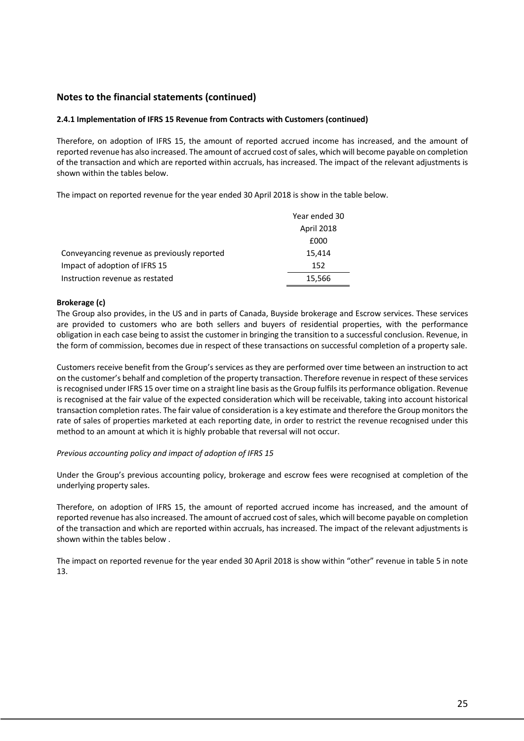#### **2.4.1 Implementation of IFRS 15 Revenue from Contracts with Customers (continued)**

Therefore, on adoption of IFRS 15, the amount of reported accrued income has increased, and the amount of reported revenue has also increased. The amount of accrued cost of sales, which will become payable on completion of the transaction and which are reported within accruals, has increased. The impact of the relevant adjustments is shown within the tables below.

The impact on reported revenue for the year ended 30 April 2018 is show in the table below.

|                                             | Year ended 30 |
|---------------------------------------------|---------------|
|                                             | April 2018    |
|                                             | £000          |
| Conveyancing revenue as previously reported | 15,414        |
| Impact of adoption of IFRS 15               | 152           |
| Instruction revenue as restated             | 15,566        |

#### **Brokerage (c)**

The Group also provides, in the US and in parts of Canada, Buyside brokerage and Escrow services. These services are provided to customers who are both sellers and buyers of residential properties, with the performance obligation in each case being to assist the customer in bringing the transition to a successful conclusion. Revenue, in the form of commission, becomes due in respect of these transactions on successful completion of a property sale.

Customers receive benefit from the Group's services as they are performed over time between an instruction to act on the customer's behalf and completion of the property transaction. Therefore revenue in respect of these services is recognised under IFRS 15 over time on a straight line basis as the Group fulfils its performance obligation. Revenue is recognised at the fair value of the expected consideration which will be receivable, taking into account historical transaction completion rates. The fair value of consideration is a key estimate and therefore the Group monitors the rate of sales of properties marketed at each reporting date, in order to restrict the revenue recognised under this method to an amount at which it is highly probable that reversal will not occur.

#### *Previous accounting policy and impact of adoption of IFRS 15*

Under the Group's previous accounting policy, brokerage and escrow fees were recognised at completion of the underlying property sales.

Therefore, on adoption of IFRS 15, the amount of reported accrued income has increased, and the amount of reported revenue has also increased. The amount of accrued cost of sales, which will become payable on completion of the transaction and which are reported within accruals, has increased. The impact of the relevant adjustments is shown within the tables below .

The impact on reported revenue for the year ended 30 April 2018 is show within "other" revenue in table 5 in note 13.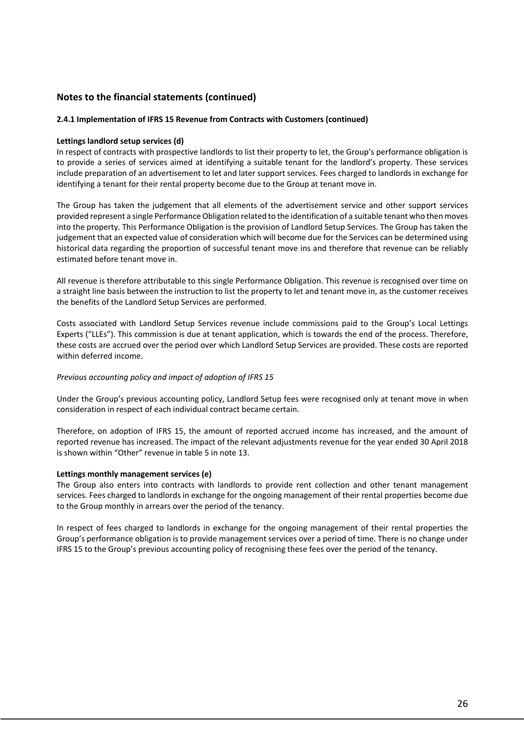#### **2.4.1 Implementation of IFRS 15 Revenue from Contracts with Customers (continued)**

#### **Lettings landlord setup services (d)**

In respect of contracts with prospective landlords to list their property to let, the Group's performance obligation is to provide a series of services aimed at identifying a suitable tenant for the landlord's property. These services include preparation of an advertisement to let and later support services. Fees charged to landlords in exchange for identifying a tenant for their rental property become due to the Group at tenant move in.

The Group has taken the judgement that all elements of the advertisement service and other support services provided represent a single Performance Obligation related to the identification of a suitable tenant who then moves into the property. This Performance Obligation is the provision of Landlord Setup Services. The Group has taken the judgement that an expected value of consideration which will become due for the Services can be determined using historical data regarding the proportion of successful tenant move ins and therefore that revenue can be reliably estimated before tenant move in.

All revenue is therefore attributable to this single Performance Obligation. This revenue is recognised over time on a straight line basis between the instruction to list the property to let and tenant move in, as the customer receives the benefits of the Landlord Setup Services are performed.

Costs associated with Landlord Setup Services revenue include commissions paid to the Group's Local Lettings Experts ("LLEs"). This commission is due at tenant application, which is towards the end of the process. Therefore, these costs are accrued over the period over which Landlord Setup Services are provided. These costs are reported within deferred income.

#### *Previous accounting policy and impact of adoption of IFRS 15*

Under the Group's previous accounting policy, Landlord Setup fees were recognised only at tenant move in when consideration in respect of each individual contract became certain.

Therefore, on adoption of IFRS 15, the amount of reported accrued income has increased, and the amount of reported revenue has increased. The impact of the relevant adjustments revenue for the year ended 30 April 2018 is shown within "Other" revenue in table 5 in note 13.

#### **Lettings monthly management services (e)**

The Group also enters into contracts with landlords to provide rent collection and other tenant management services. Fees charged to landlords in exchange for the ongoing management of their rental properties become due to the Group monthly in arrears over the period of the tenancy.

In respect of fees charged to landlords in exchange for the ongoing management of their rental properties the Group's performance obligation is to provide management services over a period of time. There is no change under IFRS 15 to the Group's previous accounting policy of recognising these fees over the period of the tenancy.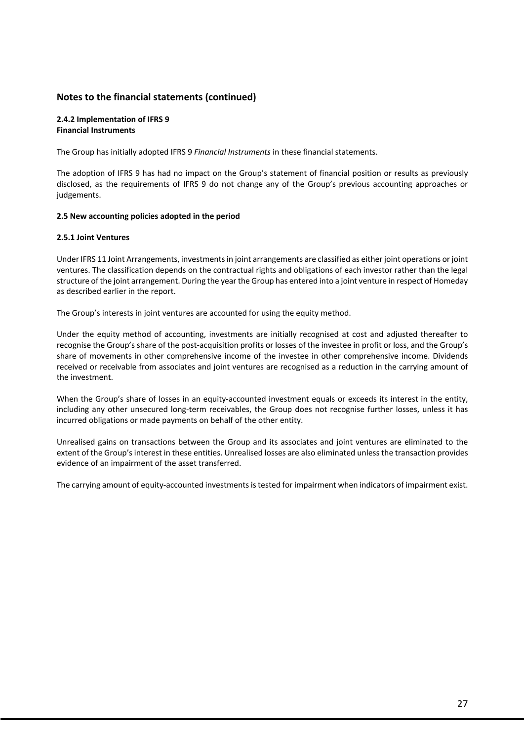#### **2.4.2 Implementation of IFRS 9 Financial Instruments**

The Group has initially adopted IFRS 9 *Financial Instruments* in these financial statements.

The adoption of IFRS 9 has had no impact on the Group's statement of financial position or results as previously disclosed, as the requirements of IFRS 9 do not change any of the Group's previous accounting approaches or judgements.

#### **2.5 New accounting policies adopted in the period**

#### **2.5.1 Joint Ventures**

Under IFRS 11 Joint Arrangements, investments in joint arrangements are classified as either joint operations or joint ventures. The classification depends on the contractual rights and obligations of each investor rather than the legal structure of the joint arrangement. During the year the Group has entered into a joint venture in respect of Homeday as described earlier in the report.

The Group's interests in joint ventures are accounted for using the equity method.

Under the equity method of accounting, investments are initially recognised at cost and adjusted thereafter to recognise the Group's share of the post-acquisition profits or losses of the investee in profit or loss, and the Group's share of movements in other comprehensive income of the investee in other comprehensive income. Dividends received or receivable from associates and joint ventures are recognised as a reduction in the carrying amount of the investment.

When the Group's share of losses in an equity-accounted investment equals or exceeds its interest in the entity, including any other unsecured long-term receivables, the Group does not recognise further losses, unless it has incurred obligations or made payments on behalf of the other entity.

Unrealised gains on transactions between the Group and its associates and joint ventures are eliminated to the extent of the Group's interest in these entities. Unrealised losses are also eliminated unless the transaction provides evidence of an impairment of the asset transferred.

The carrying amount of equity-accounted investments is tested for impairment when indicators of impairment exist.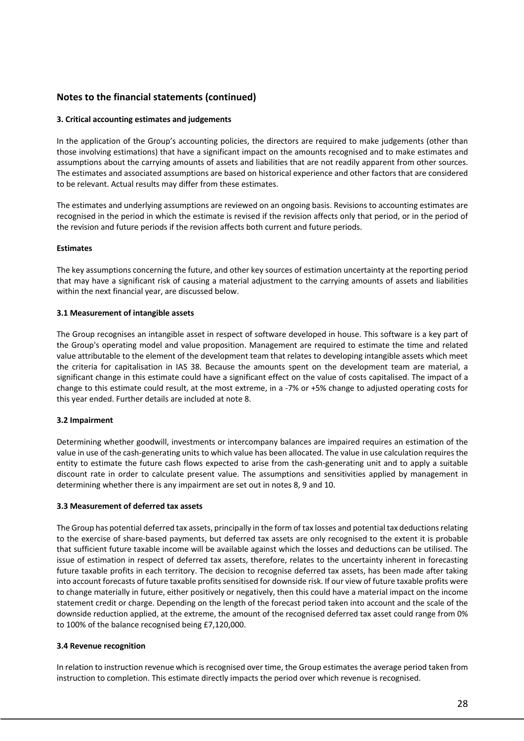### **3. Critical accounting estimates and judgements**

In the application of the Group's accounting policies, the directors are required to make judgements (other than those involving estimations) that have a significant impact on the amounts recognised and to make estimates and assumptions about the carrying amounts of assets and liabilities that are not readily apparent from other sources. The estimates and associated assumptions are based on historical experience and other factors that are considered to be relevant. Actual results may differ from these estimates.

The estimates and underlying assumptions are reviewed on an ongoing basis. Revisions to accounting estimates are recognised in the period in which the estimate is revised if the revision affects only that period, or in the period of the revision and future periods if the revision affects both current and future periods.

#### **Estimates**

The key assumptions concerning the future, and other key sources of estimation uncertainty at the reporting period that may have a significant risk of causing a material adjustment to the carrying amounts of assets and liabilities within the next financial year, are discussed below.

#### **3.1 Measurement of intangible assets**

The Group recognises an intangible asset in respect of software developed in house. This software is a key part of the Group's operating model and value proposition. Management are required to estimate the time and related value attributable to the element of the development team that relates to developing intangible assets which meet the criteria for capitalisation in IAS 38. Because the amounts spent on the development team are material, a significant change in this estimate could have a significant effect on the value of costs capitalised. The impact of a change to this estimate could result, at the most extreme, in a -7% or +5% change to adjusted operating costs for this year ended. Further details are included at note 8.

#### **3.2 Impairment**

Determining whether goodwill, investments or intercompany balances are impaired requires an estimation of the value in use of the cash-generating units to which value has been allocated. The value in use calculation requires the entity to estimate the future cash flows expected to arise from the cash-generating unit and to apply a suitable discount rate in order to calculate present value. The assumptions and sensitivities applied by management in determining whether there is any impairment are set out in notes 8, 9 and 10.

#### **3.3 Measurement of deferred tax assets**

The Group has potential deferred tax assets, principally in the form of tax losses and potential tax deductions relating to the exercise of share-based payments, but deferred tax assets are only recognised to the extent it is probable that sufficient future taxable income will be available against which the losses and deductions can be utilised. The issue of estimation in respect of deferred tax assets, therefore, relates to the uncertainty inherent in forecasting future taxable profits in each territory. The decision to recognise deferred tax assets, has been made after taking into account forecasts of future taxable profits sensitised for downside risk. If our view of future taxable profits were to change materially in future, either positively or negatively, then this could have a material impact on the income statement credit or charge. Depending on the length of the forecast period taken into account and the scale of the downside reduction applied, at the extreme, the amount of the recognised deferred tax asset could range from 0% to 100% of the balance recognised being £7,120,000.

### **3.4 Revenue recognition**

In relation to instruction revenue which is recognised over time, the Group estimates the average period taken from instruction to completion. This estimate directly impacts the period over which revenue is recognised.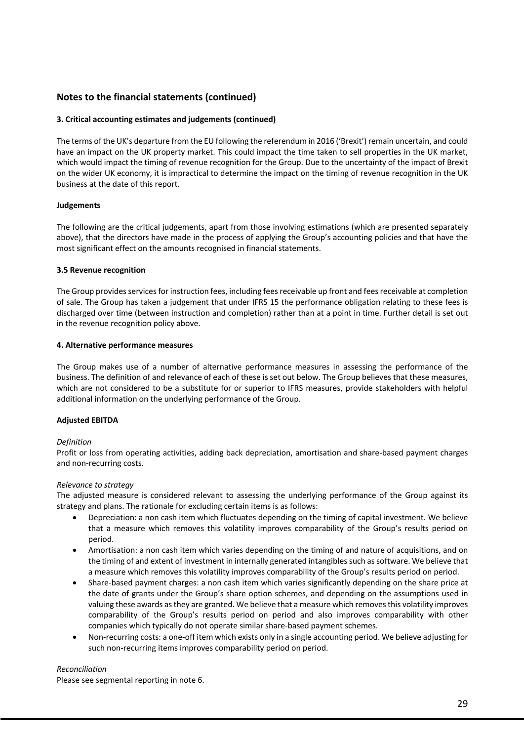#### **3. Critical accounting estimates and judgements (continued)**

The terms of the UK's departure from the EU following the referendum in 2016 ('Brexit') remain uncertain, and could have an impact on the UK property market. This could impact the time taken to sell properties in the UK market, which would impact the timing of revenue recognition for the Group. Due to the uncertainty of the impact of Brexit on the wider UK economy, it is impractical to determine the impact on the timing of revenue recognition in the UK business at the date of this report.

#### **Judgements**

The following are the critical judgements, apart from those involving estimations (which are presented separately above), that the directors have made in the process of applying the Group's accounting policies and that have the most significant effect on the amounts recognised in financial statements.

#### **3.5 Revenue recognition**

The Group provides services for instruction fees, including fees receivable up front and fees receivable at completion of sale. The Group has taken a judgement that under IFRS 15 the performance obligation relating to these fees is discharged over time (between instruction and completion) rather than at a point in time. Further detail is set out in the revenue recognition policy above.

#### **4. Alternative performance measures**

The Group makes use of a number of alternative performance measures in assessing the performance of the business. The definition of and relevance of each of these is set out below. The Group believes that these measures, which are not considered to be a substitute for or superior to IFRS measures, provide stakeholders with helpful additional information on the underlying performance of the Group.

#### **Adjusted EBITDA**

#### *Definition*

Profit or loss from operating activities, adding back depreciation, amortisation and share-based payment charges and non-recurring costs.

#### *Relevance to strategy*

The adjusted measure is considered relevant to assessing the underlying performance of the Group against its strategy and plans. The rationale for excluding certain items is as follows:

- Depreciation: a non cash item which fluctuates depending on the timing of capital investment. We believe that a measure which removes this volatility improves comparability of the Group's results period on period.
- Amortisation: a non cash item which varies depending on the timing of and nature of acquisitions, and on the timing of and extent of investment in internally generated intangibles such as software. We believe that a measure which removes this volatility improves comparability of the Group's results period on period.
- Share-based payment charges: a non cash item which varies significantly depending on the share price at the date of grants under the Group's share option schemes, and depending on the assumptions used in valuing these awards as they are granted. We believe that a measure which removes this volatility improves comparability of the Group's results period on period and also improves comparability with other companies which typically do not operate similar share-based payment schemes.
- Non-recurring costs: a one-off item which exists only in a single accounting period. We believe adjusting for such non-recurring items improves comparability period on period.

#### *Reconciliation*

Please see segmental reporting in note 6.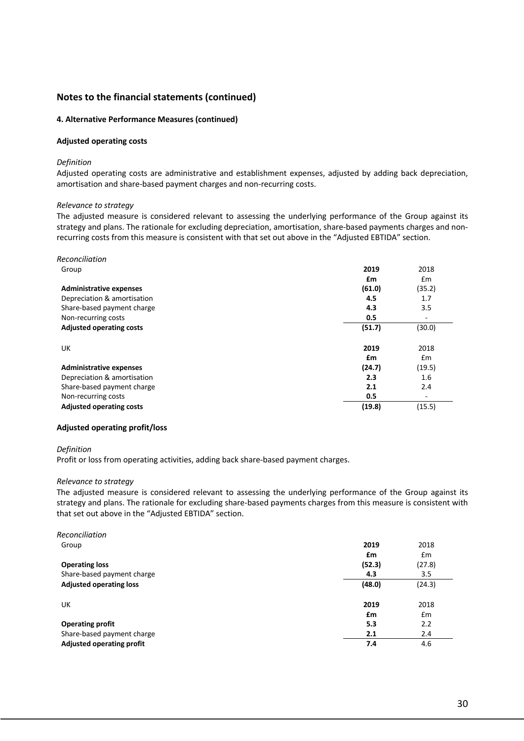#### **4. Alternative Performance Measures (continued)**

#### **Adjusted operating costs**

#### *Definition*

Adjusted operating costs are administrative and establishment expenses, adjusted by adding back depreciation, amortisation and share-based payment charges and non-recurring costs.

#### *Relevance to strategy*

The adjusted measure is considered relevant to assessing the underlying performance of the Group against its strategy and plans. The rationale for excluding depreciation, amortisation, share-based payments charges and nonrecurring costs from this measure is consistent with that set out above in the "Adjusted EBTIDA" section.

| Reconciliation                  |        |               |
|---------------------------------|--------|---------------|
| Group                           | 2019   | 2018          |
|                                 | £m     | $\mathsf{fm}$ |
| <b>Administrative expenses</b>  | (61.0) | (35.2)        |
| Depreciation & amortisation     | 4.5    | 1.7           |
| Share-based payment charge      | 4.3    | 3.5           |
| Non-recurring costs             | 0.5    | ٠             |
| <b>Adjusted operating costs</b> | (51.7) | (30.0)        |
| UK                              | 2019   | 2018          |
|                                 | £m     | $\mathsf{fm}$ |
| <b>Administrative expenses</b>  | (24.7) | (19.5)        |
| Depreciation & amortisation     | 2.3    | 1.6           |
| Share-based payment charge      | 2.1    | 2.4           |
| Non-recurring costs             | 0.5    | ۰             |
| <b>Adjusted operating costs</b> | (19.8) | (15.5)        |

#### **Adjusted operating profit/loss**

#### *Definition*

Profit or loss from operating activities, adding back share-based payment charges.

#### *Relevance to strategy*

The adjusted measure is considered relevant to assessing the underlying performance of the Group against its strategy and plans. The rationale for excluding share-based payments charges from this measure is consistent with that set out above in the "Adjusted EBTIDA" section.

| Reconciliation                   |        |        |
|----------------------------------|--------|--------|
| Group                            | 2019   | 2018   |
|                                  | £m     | £m     |
| <b>Operating loss</b>            | (52.3) | (27.8) |
| Share-based payment charge       | 4.3    | 3.5    |
| <b>Adjusted operating loss</b>   | (48.0) | (24.3) |
| UK                               | 2019   | 2018   |
|                                  | £m     | £m     |
| <b>Operating profit</b>          | 5.3    | 2.2    |
| Share-based payment charge       | 2.1    | 2.4    |
| <b>Adjusted operating profit</b> | 7.4    | 4.6    |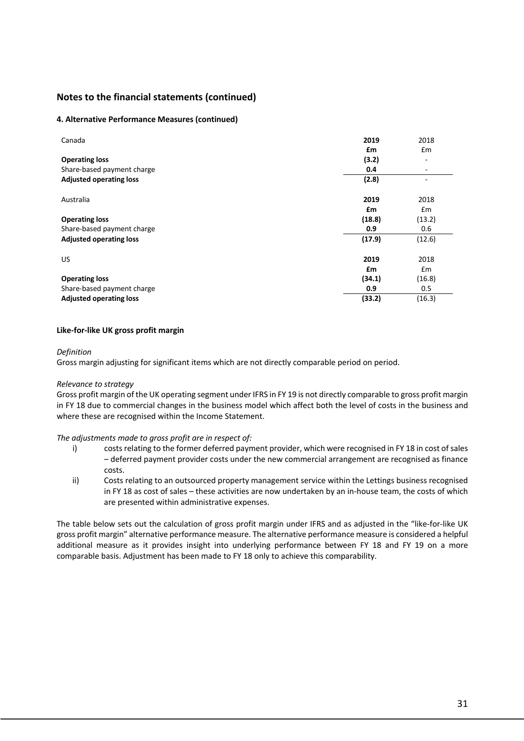#### **4. Alternative Performance Measures (continued)**

| Canada                         | 2019   | 2018                     |
|--------------------------------|--------|--------------------------|
|                                | £m     | £m                       |
| <b>Operating loss</b>          | (3.2)  | -                        |
| Share-based payment charge     | 0.4    | $\overline{\phantom{a}}$ |
| <b>Adjusted operating loss</b> | (2.8)  | ٠                        |
| Australia                      | 2019   | 2018                     |
|                                | £m     | Em                       |
| <b>Operating loss</b>          | (18.8) | (13.2)                   |
| Share-based payment charge     | 0.9    | 0.6                      |
| <b>Adjusted operating loss</b> | (17.9) | (12.6)                   |
| US.                            | 2019   | 2018                     |
|                                | £m     | Em                       |
| <b>Operating loss</b>          | (34.1) | (16.8)                   |
| Share-based payment charge     | 0.9    | 0.5                      |
| <b>Adjusted operating loss</b> | (33.2) | (16.3)                   |

#### **Like-for-like UK gross profit margin**

#### *Definition*

Gross margin adjusting for significant items which are not directly comparable period on period.

#### *Relevance to strategy*

Gross profit margin of the UK operating segment under IFRS in FY 19 is not directly comparable to gross profit margin in FY 18 due to commercial changes in the business model which affect both the level of costs in the business and where these are recognised within the Income Statement.

#### *The adjustments made to gross profit are in respect of:*

- i) costs relating to the former deferred payment provider, which were recognised in FY 18 in cost of sales – deferred payment provider costs under the new commercial arrangement are recognised as finance costs.
- ii) Costs relating to an outsourced property management service within the Lettings business recognised in FY 18 as cost of sales – these activities are now undertaken by an in-house team, the costs of which are presented within administrative expenses.

The table below sets out the calculation of gross profit margin under IFRS and as adjusted in the "like-for-like UK gross profit margin" alternative performance measure. The alternative performance measure is considered a helpful additional measure as it provides insight into underlying performance between FY 18 and FY 19 on a more comparable basis. Adjustment has been made to FY 18 only to achieve this comparability.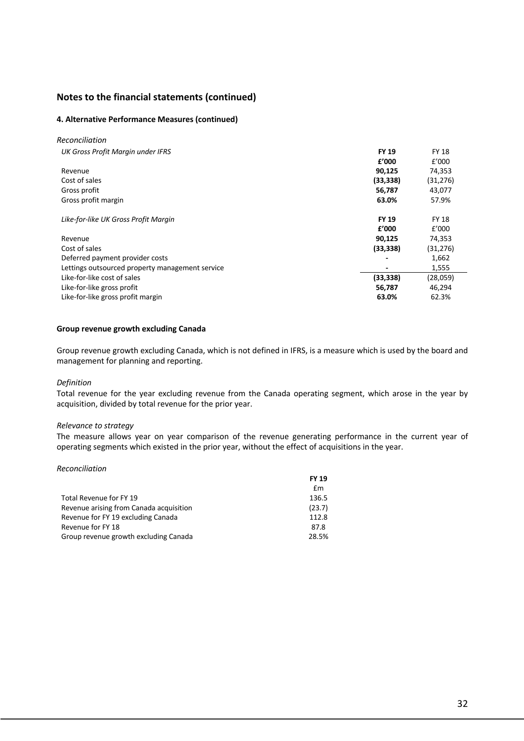#### **4. Alternative Performance Measures (continued)**

| Reconciliation                                  |              |              |
|-------------------------------------------------|--------------|--------------|
| UK Gross Profit Margin under IFRS               | <b>FY 19</b> | <b>FY 18</b> |
|                                                 | f'000        | f'000        |
| Revenue                                         | 90,125       | 74,353       |
| Cost of sales                                   | (33, 338)    | (31, 276)    |
| Gross profit                                    | 56,787       | 43,077       |
| Gross profit margin                             | 63.0%        | 57.9%        |
| Like-for-like UK Gross Profit Margin            | <b>FY 19</b> | <b>FY 18</b> |
|                                                 | f'000        | f'000        |
| Revenue                                         | 90,125       | 74,353       |
| Cost of sales                                   | (33, 338)    | (31, 276)    |
| Deferred payment provider costs                 |              | 1,662        |
| Lettings outsourced property management service |              | 1,555        |
| Like-for-like cost of sales                     | (33, 338)    | (28,059)     |
| Like-for-like gross profit                      | 56,787       | 46,294       |
| Like-for-like gross profit margin               | 63.0%        | 62.3%        |

#### **Group revenue growth excluding Canada**

Group revenue growth excluding Canada, which is not defined in IFRS, is a measure which is used by the board and management for planning and reporting.

#### *Definition*

Total revenue for the year excluding revenue from the Canada operating segment, which arose in the year by acquisition, divided by total revenue for the prior year.

### *Relevance to strategy*

The measure allows year on year comparison of the revenue generating performance in the current year of operating segments which existed in the prior year, without the effect of acquisitions in the year.

#### *Reconciliation*

|                                         | <b>FY 19</b> |
|-----------------------------------------|--------------|
|                                         | £m           |
| Total Revenue for FY 19                 | 136.5        |
| Revenue arising from Canada acquisition | (23.7)       |
| Revenue for FY 19 excluding Canada      | 112.8        |
| Revenue for FY 18                       | 87.8         |
| Group revenue growth excluding Canada   | 28.5%        |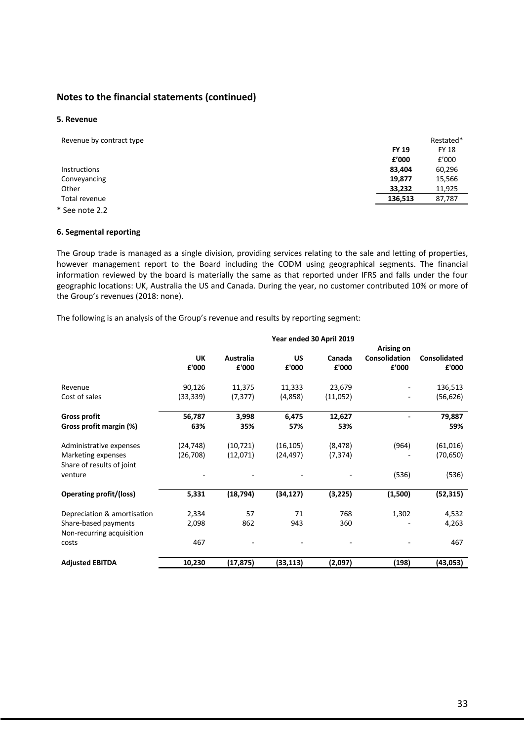#### **5. Revenue**

| Revenue by contract type |              | Restated*    |
|--------------------------|--------------|--------------|
|                          | <b>FY 19</b> | <b>FY 18</b> |
|                          | £'000        | f'000        |
| <b>Instructions</b>      | 83,404       | 60,296       |
| Conveyancing             | 19,877       | 15,566       |
| Other                    | 33,232       | 11,925       |
| Total revenue            | 136,513      | 87,787       |
| * See note 2.2           |              |              |

#### **6. Segmental reporting**

The Group trade is managed as a single division, providing services relating to the sale and letting of properties, however management report to the Board including the CODM using geographical segments. The financial information reviewed by the board is materially the same as that reported under IFRS and falls under the four geographic locations: UK, Australia the US and Canada. During the year, no customer contributed 10% or more of the Group's revenues (2018: none).

The following is an analysis of the Group's revenue and results by reporting segment:

|                                | Year ended 30 April 2019 |           |           |          |                      |              |
|--------------------------------|--------------------------|-----------|-----------|----------|----------------------|--------------|
|                                |                          |           |           |          | Arising on           |              |
|                                | UK                       | Australia | <b>US</b> | Canada   | <b>Consolidation</b> | Consolidated |
|                                | £'000                    | £'000     | £'000     | £'000    | £'000                | £'000        |
|                                |                          |           |           |          |                      |              |
| Revenue                        | 90,126                   | 11,375    | 11,333    | 23,679   |                      | 136,513      |
| Cost of sales                  | (33, 339)                | (7, 377)  | (4,858)   | (11,052) |                      | (56, 626)    |
| <b>Gross profit</b>            | 56,787                   | 3,998     | 6,475     | 12,627   |                      | 79,887       |
| Gross profit margin (%)        | 63%                      | 35%       | 57%       | 53%      |                      | 59%          |
| Administrative expenses        | (24, 748)                | (10, 721) | (16, 105) | (8, 478) | (964)                | (61,016)     |
| Marketing expenses             | (26, 708)                | (12,071)  | (24, 497) | (7, 374) |                      | (70, 650)    |
| Share of results of joint      |                          |           |           |          |                      |              |
| venture                        |                          |           |           |          | (536)                | (536)        |
| <b>Operating profit/(loss)</b> | 5,331                    | (18, 794) | (34, 127) | (3,225)  | (1,500)              | (52, 315)    |
|                                |                          |           |           |          |                      |              |
| Depreciation & amortisation    | 2,334                    | 57        | 71        | 768      | 1,302                | 4,532        |
| Share-based payments           | 2,098                    | 862       | 943       | 360      |                      | 4,263        |
| Non-recurring acquisition      |                          |           |           |          |                      |              |
| costs                          | 467                      |           |           |          |                      | 467          |
| <b>Adjusted EBITDA</b>         | 10,230                   | (17,875)  | (33,113)  | (2,097)  | (198)                | (43,053)     |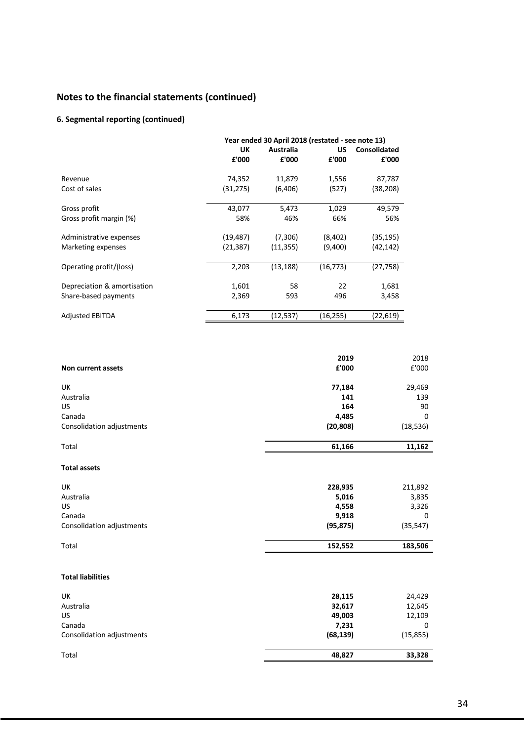### **6. Segmental reporting (continued)**

|                             |           | Year ended 30 April 2018 (restated - see note 13) |           |              |
|-----------------------------|-----------|---------------------------------------------------|-----------|--------------|
|                             | UK        | Australia                                         | US        | Consolidated |
|                             | £'000     | £'000                                             | £'000     | £'000        |
| Revenue                     | 74,352    | 11,879                                            | 1,556     | 87,787       |
| Cost of sales               | (31, 275) | (6,406)                                           | (527)     | (38,208)     |
| Gross profit                | 43,077    | 5,473                                             | 1,029     | 49,579       |
| Gross profit margin (%)     | 58%       | 46%                                               | 66%       | 56%          |
| Administrative expenses     | (19, 487) | (7,306)                                           | (8,402)   | (35, 195)    |
| Marketing expenses          | (21,387)  | (11, 355)                                         | (9,400)   | (42, 142)    |
| Operating profit/(loss)     | 2,203     | (13, 188)                                         | (16, 773) | (27,758)     |
| Depreciation & amortisation | 1,601     | 58                                                | 22        | 1,681        |
| Share-based payments        | 2,369     | 593                                               | 496       | 3,458        |
| <b>Adjusted EBITDA</b>      | 6,173     | (12, 537)                                         | (16, 255) | (22,619)     |

|                           | 2019      | 2018      |
|---------------------------|-----------|-----------|
| Non current assets        | £'000     | £'000     |
| UK                        | 77,184    | 29,469    |
| Australia                 | 141       | 139       |
| US                        | 164       | 90        |
| Canada                    | 4,485     | $\Omega$  |
| Consolidation adjustments | (20, 808) | (18, 536) |
| Total                     | 61,166    | 11,162    |
| <b>Total assets</b>       |           |           |
| UK                        | 228,935   | 211,892   |
| Australia                 | 5,016     | 3,835     |
| <b>US</b>                 | 4,558     | 3,326     |
| Canada                    | 9,918     | 0         |
| Consolidation adjustments | (95, 875) | (35, 547) |
| Total                     | 152,552   | 183,506   |
| <b>Total liabilities</b>  |           |           |
| UK                        | 28,115    | 24,429    |
| Australia                 | 32,617    | 12,645    |
| US                        | 49,003    | 12,109    |
| Canada                    | 7,231     | 0         |
| Consolidation adjustments | (68, 139) | (15, 855) |
| Total                     | 48,827    | 33,328    |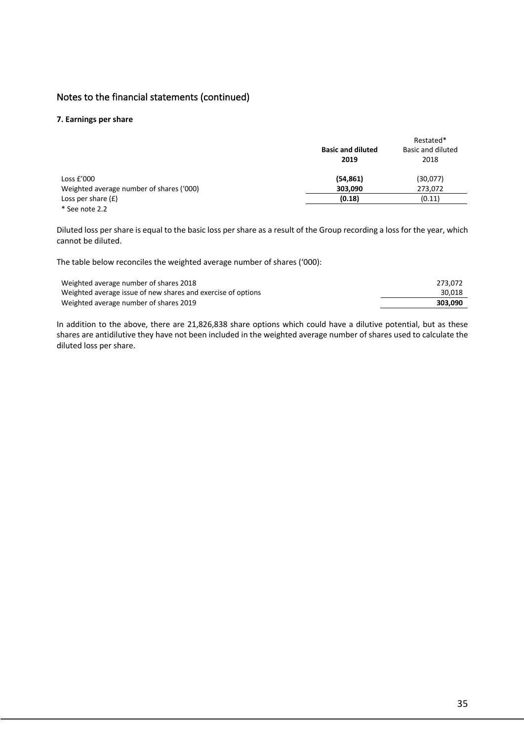#### **7. Earnings per share**

|                                          |                          | Restated*         |
|------------------------------------------|--------------------------|-------------------|
|                                          | <b>Basic and diluted</b> | Basic and diluted |
|                                          | 2019                     | 2018              |
| Loss $E'000$                             | (54, 861)                | (30,077)          |
| Weighted average number of shares ('000) | 303,090                  | 273.072           |
| Loss per share $(f)$                     | (0.18)                   | (0.11)            |
| * See note 2.2                           |                          |                   |

Diluted loss per share is equal to the basic loss per share as a result of the Group recording a loss for the year, which cannot be diluted.

The table below reconciles the weighted average number of shares ('000):

| Weighted average number of shares 2018                       | 273.072 |
|--------------------------------------------------------------|---------|
| Weighted average issue of new shares and exercise of options | 30.018  |
| Weighted average number of shares 2019                       | 303.090 |

In addition to the above, there are 21,826,838 share options which could have a dilutive potential, but as these shares are antidilutive they have not been included in the weighted average number of shares used to calculate the diluted loss per share.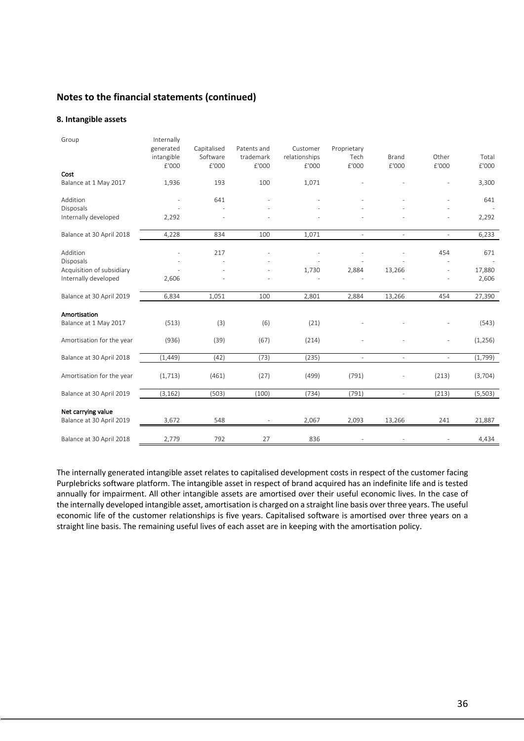#### **8. Intangible assets**

| Group                     | Internally<br>generated<br>intangible<br>£'000 | Capitalised<br>Software<br>£'000 | Patents and<br>trademark<br>£'000 | Customer<br>relationships<br>£'000 | Proprietary<br>Tech<br>£'000 | Brand<br>£'000           | Other<br>£'000           | Total<br>£'000 |
|---------------------------|------------------------------------------------|----------------------------------|-----------------------------------|------------------------------------|------------------------------|--------------------------|--------------------------|----------------|
| Cost                      |                                                |                                  |                                   |                                    |                              |                          |                          |                |
| Balance at 1 May 2017     | 1,936                                          | 193                              | 100                               | 1,071                              |                              |                          |                          | 3,300          |
| Addition                  |                                                | 641                              |                                   |                                    |                              |                          |                          | 641            |
| Disposals                 |                                                |                                  |                                   |                                    |                              |                          |                          |                |
| Internally developed      | 2,292                                          |                                  |                                   |                                    |                              |                          | ٠                        | 2,292          |
| Balance at 30 April 2018  | 4,228                                          | 834                              | 100                               | 1,071                              |                              | ÷                        | $\overline{\phantom{a}}$ | 6,233          |
| Addition                  |                                                | 217                              |                                   |                                    |                              |                          | 454                      | 671            |
| Disposals                 |                                                |                                  |                                   |                                    |                              |                          |                          |                |
| Acquisition of subsidiary |                                                |                                  |                                   | 1,730                              | 2,884                        | 13,266                   | $\overline{\phantom{a}}$ | 17,880         |
| Internally developed      | 2,606                                          |                                  |                                   |                                    |                              |                          |                          | 2,606          |
| Balance at 30 April 2019  | 6,834                                          | 1,051                            | 100                               | 2,801                              | 2,884                        | 13,266                   | 454                      | 27,390         |
| Amortisation              |                                                |                                  |                                   |                                    |                              |                          |                          |                |
| Balance at 1 May 2017     | (513)                                          | (3)                              | (6)                               | (21)                               |                              |                          |                          | (543)          |
| Amortisation for the year | (936)                                          | (39)                             | (67)                              | (214)                              |                              |                          | ÷,                       | (1,256)        |
| Balance at 30 April 2018  | (1, 449)                                       | (42)                             | (73)                              | (235)                              | $\bar{a}$                    | $\sim$                   | $\sim$                   | (1,799)        |
| Amortisation for the year | (1, 713)                                       | (461)                            | (27)                              | (499)                              | (791)                        |                          | (213)                    | (3,704)        |
| Balance at 30 April 2019  | (3, 162)                                       | (503)                            | (100)                             | (734)                              | (791)                        | $\overline{\phantom{a}}$ | (213)                    | (5,503)        |
| Net carrying value        |                                                |                                  |                                   |                                    |                              |                          |                          |                |
| Balance at 30 April 2019  | 3,672                                          | 548                              |                                   | 2,067                              | 2,093                        | 13,266                   | 241                      | 21,887         |
| Balance at 30 April 2018  | 2,779                                          | 792                              | 27                                | 836                                |                              |                          |                          | 4,434          |

The internally generated intangible asset relates to capitalised development costs in respect of the customer facing Purplebricks software platform. The intangible asset in respect of brand acquired has an indefinite life and is tested annually for impairment. All other intangible assets are amortised over their useful economic lives. In the case of the internally developed intangible asset, amortisation is charged on a straight line basis over three years. The useful economic life of the customer relationships is five years. Capitalised software is amortised over three years on a straight line basis. The remaining useful lives of each asset are in keeping with the amortisation policy.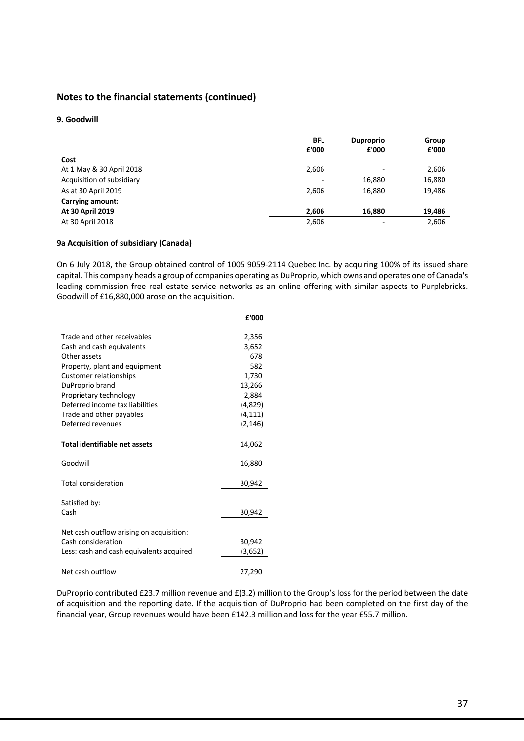#### **9. Goodwill**

|                           | <b>BFL</b>               | <b>Duproprio</b> | Group  |
|---------------------------|--------------------------|------------------|--------|
|                           | £'000                    | £'000            | £'000  |
| Cost                      |                          |                  |        |
| At 1 May & 30 April 2018  | 2,606                    |                  | 2,606  |
| Acquisition of subsidiary | $\overline{\phantom{a}}$ | 16,880           | 16,880 |
| As at 30 April 2019       | 2,606                    | 16,880           | 19,486 |
| Carrying amount:          |                          |                  |        |
| At 30 April 2019          | 2,606                    | 16,880           | 19,486 |
| At 30 April 2018          | 2,606                    |                  | 2,606  |

#### **9a Acquisition of subsidiary (Canada)**

On 6 July 2018, the Group obtained control of 1005 9059-2114 Quebec Inc. by acquiring 100% of its issued share capital. This company heads a group of companies operating as DuProprio, which owns and operates one of Canada's leading commission free real estate service networks as an online offering with similar aspects to Purplebricks. Goodwill of £16,880,000 arose on the acquisition.

|                                          | £'000    |
|------------------------------------------|----------|
| Trade and other receivables              | 2,356    |
| Cash and cash equivalents                | 3,652    |
| Other assets                             | 678      |
| Property, plant and equipment            | 582      |
| Customer relationships                   | 1,730    |
| DuProprio brand                          | 13,266   |
| Proprietary technology                   | 2,884    |
| Deferred income tax liabilities          | (4,829)  |
| Trade and other payables                 | (4, 111) |
| Deferred revenues                        | (2, 146) |
| Total identifiable net assets            | 14,062   |
| Goodwill                                 | 16,880   |
| <b>Total consideration</b>               | 30,942   |
| Satisfied by:                            |          |
| Cash                                     | 30,942   |
| Net cash outflow arising on acquisition: |          |
| Cash consideration                       | 30,942   |
| Less: cash and cash equivalents acquired | (3,652)  |
| Net cash outflow                         | 27,290   |

DuProprio contributed £23.7 million revenue and £(3.2) million to the Group's loss for the period between the date of acquisition and the reporting date. If the acquisition of DuProprio had been completed on the first day of the financial year, Group revenues would have been £142.3 million and loss for the year £55.7 million.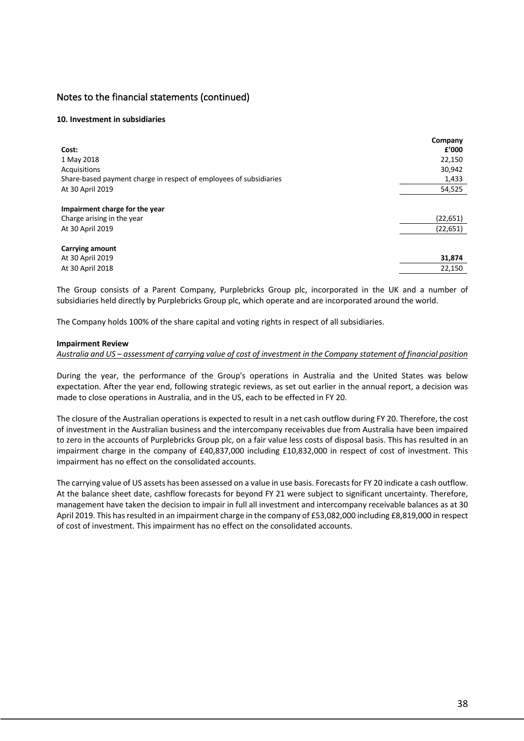#### **10. Investment in subsidiaries**

|                                                                    | Company   |
|--------------------------------------------------------------------|-----------|
| Cost:                                                              | f'000     |
| 1 May 2018                                                         | 22,150    |
| Acquisitions                                                       | 30,942    |
| Share-based payment charge in respect of employees of subsidiaries | 1,433     |
| At 30 April 2019                                                   | 54,525    |
| Impairment charge for the year                                     |           |
| Charge arising in the year                                         | (22, 651) |
| At 30 April 2019                                                   | (22, 651) |
| <b>Carrying amount</b>                                             |           |
| At 30 April 2019                                                   | 31,874    |
| At 30 April 2018                                                   | 22,150    |

The Group consists of a Parent Company, Purplebricks Group plc, incorporated in the UK and a number of subsidiaries held directly by Purplebricks Group plc, which operate and are incorporated around the world.

The Company holds 100% of the share capital and voting rights in respect of all subsidiaries.

#### **Impairment Review**

#### *Australia and US – assessment of carrying value of cost of investment in the Company statement of financial position*

During the year, the performance of the Group's operations in Australia and the United States was below expectation. After the year end, following strategic reviews, as set out earlier in the annual report, a decision was made to close operations in Australia, and in the US, each to be effected in FY 20.

The closure of the Australian operations is expected to result in a net cash outflow during FY 20. Therefore, the cost of investment in the Australian business and the intercompany receivables due from Australia have been impaired to zero in the accounts of Purplebricks Group plc, on a fair value less costs of disposal basis. This has resulted in an impairment charge in the company of £40,837,000 including £10,832,000 in respect of cost of investment. This impairment has no effect on the consolidated accounts.

The carrying value of US assets has been assessed on a value in use basis. Forecasts for FY 20 indicate a cash outflow. At the balance sheet date, cashflow forecasts for beyond FY 21 were subject to significant uncertainty. Therefore, management have taken the decision to impair in full all investment and intercompany receivable balances as at 30 April 2019. This has resulted in an impairment charge in the company of £53,082,000 including £8,819,000 in respect of cost of investment. This impairment has no effect on the consolidated accounts.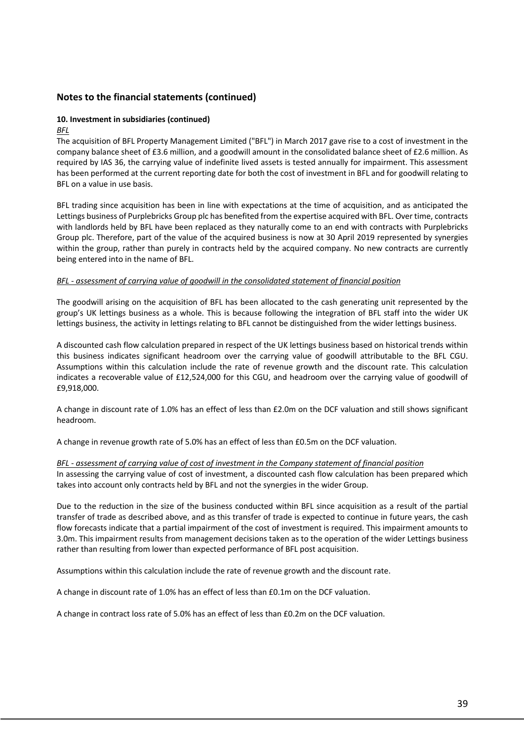### **10. Investment in subsidiaries (continued)**

*BFL* 

The acquisition of BFL Property Management Limited ("BFL") in March 2017 gave rise to a cost of investment in the company balance sheet of £3.6 million, and a goodwill amount in the consolidated balance sheet of £2.6 million. As required by IAS 36, the carrying value of indefinite lived assets is tested annually for impairment. This assessment has been performed at the current reporting date for both the cost of investment in BFL and for goodwill relating to BFL on a value in use basis.

BFL trading since acquisition has been in line with expectations at the time of acquisition, and as anticipated the Lettings business of Purplebricks Group plc has benefited from the expertise acquired with BFL. Over time, contracts with landlords held by BFL have been replaced as they naturally come to an end with contracts with Purplebricks Group plc. Therefore, part of the value of the acquired business is now at 30 April 2019 represented by synergies within the group, rather than purely in contracts held by the acquired company. No new contracts are currently being entered into in the name of BFL.

#### *BFL - assessment of carrying value of goodwill in the consolidated statement of financial position*

The goodwill arising on the acquisition of BFL has been allocated to the cash generating unit represented by the group's UK lettings business as a whole. This is because following the integration of BFL staff into the wider UK lettings business, the activity in lettings relating to BFL cannot be distinguished from the wider lettings business.

A discounted cash flow calculation prepared in respect of the UK lettings business based on historical trends within this business indicates significant headroom over the carrying value of goodwill attributable to the BFL CGU. Assumptions within this calculation include the rate of revenue growth and the discount rate. This calculation indicates a recoverable value of £12,524,000 for this CGU, and headroom over the carrying value of goodwill of £9,918,000.

A change in discount rate of 1.0% has an effect of less than £2.0m on the DCF valuation and still shows significant headroom.

A change in revenue growth rate of 5.0% has an effect of less than £0.5m on the DCF valuation.

### *BFL - assessment of carrying value of cost of investment in the Company statement of financial position*

In assessing the carrying value of cost of investment, a discounted cash flow calculation has been prepared which takes into account only contracts held by BFL and not the synergies in the wider Group.

Due to the reduction in the size of the business conducted within BFL since acquisition as a result of the partial transfer of trade as described above, and as this transfer of trade is expected to continue in future years, the cash flow forecasts indicate that a partial impairment of the cost of investment is required. This impairment amounts to 3.0m. This impairment results from management decisions taken as to the operation of the wider Lettings business rather than resulting from lower than expected performance of BFL post acquisition.

Assumptions within this calculation include the rate of revenue growth and the discount rate.

A change in discount rate of 1.0% has an effect of less than £0.1m on the DCF valuation.

A change in contract loss rate of 5.0% has an effect of less than £0.2m on the DCF valuation.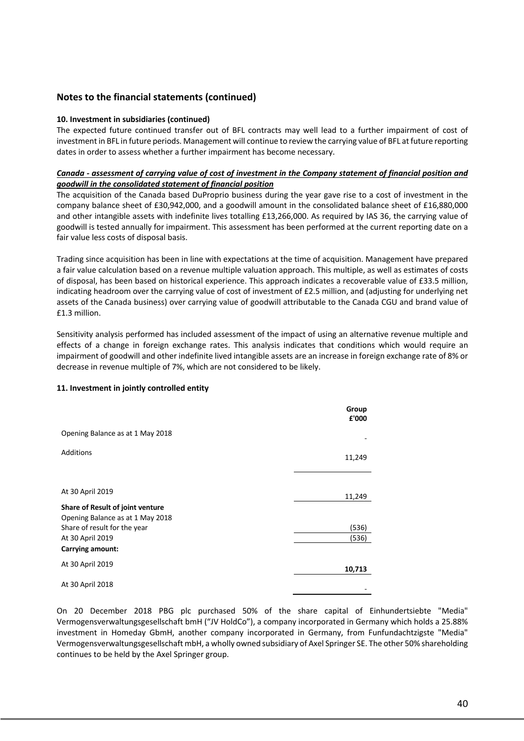#### **10. Investment in subsidiaries (continued)**

The expected future continued transfer out of BFL contracts may well lead to a further impairment of cost of investment in BFL in future periods. Management will continue to review the carrying value of BFL at future reporting dates in order to assess whether a further impairment has become necessary.

#### *Canada - assessment of carrying value of cost of investment in the Company statement of financial position and goodwill in the consolidated statement of financial position*

The acquisition of the Canada based DuProprio business during the year gave rise to a cost of investment in the company balance sheet of £30,942,000, and a goodwill amount in the consolidated balance sheet of £16,880,000 and other intangible assets with indefinite lives totalling £13,266,000. As required by IAS 36, the carrying value of goodwill is tested annually for impairment. This assessment has been performed at the current reporting date on a fair value less costs of disposal basis.

Trading since acquisition has been in line with expectations at the time of acquisition. Management have prepared a fair value calculation based on a revenue multiple valuation approach. This multiple, as well as estimates of costs of disposal, has been based on historical experience. This approach indicates a recoverable value of £33.5 million, indicating headroom over the carrying value of cost of investment of £2.5 million, and (adjusting for underlying net assets of the Canada business) over carrying value of goodwill attributable to the Canada CGU and brand value of £1.3 million.

Sensitivity analysis performed has included assessment of the impact of using an alternative revenue multiple and effects of a change in foreign exchange rates. This analysis indicates that conditions which would require an impairment of goodwill and other indefinite lived intangible assets are an increase in foreign exchange rate of 8% or decrease in revenue multiple of 7%, which are not considered to be likely.

#### **11. Investment in jointly controlled entity**

|                                                                                                      | Group<br>£'000 |
|------------------------------------------------------------------------------------------------------|----------------|
| Opening Balance as at 1 May 2018                                                                     |                |
| <b>Additions</b>                                                                                     | 11,249         |
| At 30 April 2019                                                                                     | 11,249         |
| Share of Result of joint venture<br>Opening Balance as at 1 May 2018<br>Share of result for the year | (536)          |
| At 30 April 2019<br><b>Carrying amount:</b>                                                          | (536)          |
| At 30 April 2019                                                                                     | 10,713         |
| At 30 April 2018                                                                                     |                |

On 20 December 2018 PBG plc purchased 50% of the share capital of Einhundertsiebte "Media" Vermogensverwaltungsgesellschaft bmH ("JV HoldCo"), a company incorporated in Germany which holds a 25.88% investment in Homeday GbmH, another company incorporated in Germany, from Funfundachtzigste "Media" Vermogensverwaltungsgesellschaft mbH, a wholly owned subsidiary of Axel Springer SE. The other 50% shareholding continues to be held by the Axel Springer group.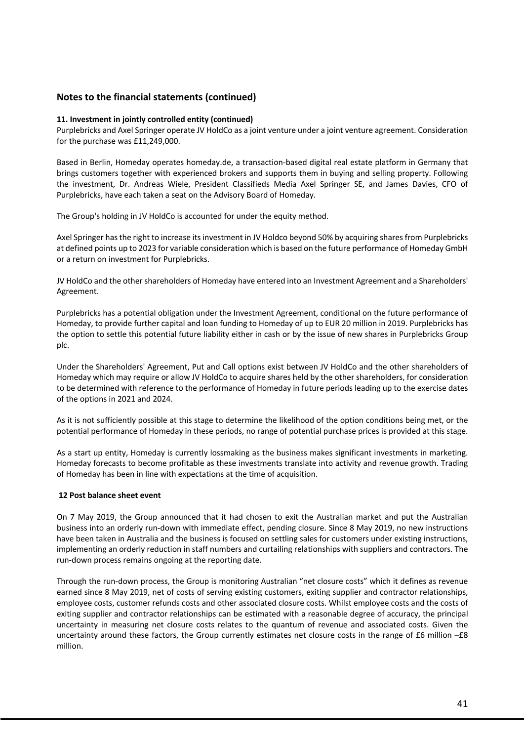#### **11. Investment in jointly controlled entity (continued)**

Purplebricks and Axel Springer operate JV HoldCo as a joint venture under a joint venture agreement. Consideration for the purchase was £11,249,000.

Based in Berlin, Homeday operates homeday.de, a transaction-based digital real estate platform in Germany that brings customers together with experienced brokers and supports them in buying and selling property. Following the investment, Dr. Andreas Wiele, President Classifieds Media Axel Springer SE, and James Davies, CFO of Purplebricks, have each taken a seat on the Advisory Board of Homeday.

The Group's holding in JV HoldCo is accounted for under the equity method.

Axel Springer has the right to increase its investment in JV Holdco beyond 50% by acquiring shares from Purplebricks at defined points up to 2023 for variable consideration which is based on the future performance of Homeday GmbH or a return on investment for Purplebricks.

JV HoldCo and the other shareholders of Homeday have entered into an Investment Agreement and a Shareholders' Agreement.

Purplebricks has a potential obligation under the Investment Agreement, conditional on the future performance of Homeday, to provide further capital and loan funding to Homeday of up to EUR 20 million in 2019. Purplebricks has the option to settle this potential future liability either in cash or by the issue of new shares in Purplebricks Group plc.

Under the Shareholders' Agreement, Put and Call options exist between JV HoldCo and the other shareholders of Homeday which may require or allow JV HoldCo to acquire shares held by the other shareholders, for consideration to be determined with reference to the performance of Homeday in future periods leading up to the exercise dates of the options in 2021 and 2024.

As it is not sufficiently possible at this stage to determine the likelihood of the option conditions being met, or the potential performance of Homeday in these periods, no range of potential purchase prices is provided at this stage.

As a start up entity, Homeday is currently lossmaking as the business makes significant investments in marketing. Homeday forecasts to become profitable as these investments translate into activity and revenue growth. Trading of Homeday has been in line with expectations at the time of acquisition.

#### **12 Post balance sheet event**

On 7 May 2019, the Group announced that it had chosen to exit the Australian market and put the Australian business into an orderly run-down with immediate effect, pending closure. Since 8 May 2019, no new instructions have been taken in Australia and the business is focused on settling sales for customers under existing instructions, implementing an orderly reduction in staff numbers and curtailing relationships with suppliers and contractors. The run-down process remains ongoing at the reporting date.

Through the run-down process, the Group is monitoring Australian "net closure costs" which it defines as revenue earned since 8 May 2019, net of costs of serving existing customers, exiting supplier and contractor relationships, employee costs, customer refunds costs and other associated closure costs. Whilst employee costs and the costs of exiting supplier and contractor relationships can be estimated with a reasonable degree of accuracy, the principal uncertainty in measuring net closure costs relates to the quantum of revenue and associated costs. Given the uncertainty around these factors, the Group currently estimates net closure costs in the range of  $£6$  million  $-£8$ million.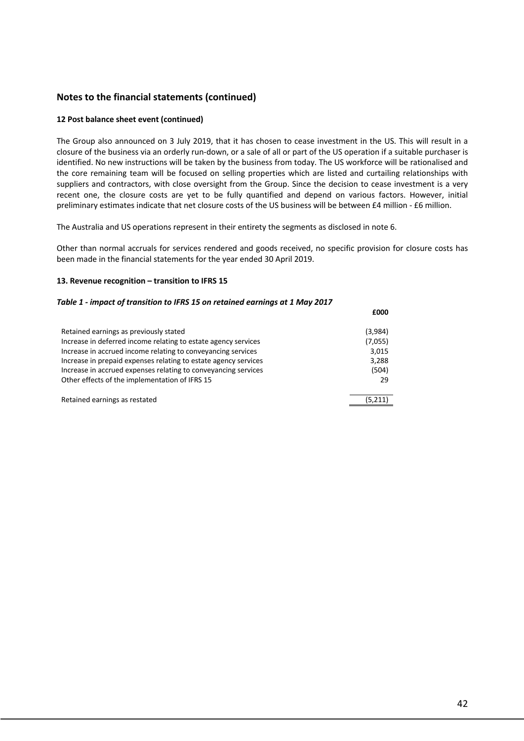#### **12 Post balance sheet event (continued)**

The Group also announced on 3 July 2019, that it has chosen to cease investment in the US. This will result in a closure of the business via an orderly run-down, or a sale of all or part of the US operation if a suitable purchaser is identified. No new instructions will be taken by the business from today. The US workforce will be rationalised and the core remaining team will be focused on selling properties which are listed and curtailing relationships with suppliers and contractors, with close oversight from the Group. Since the decision to cease investment is a very recent one, the closure costs are yet to be fully quantified and depend on various factors. However, initial preliminary estimates indicate that net closure costs of the US business will be between £4 million - £6 million.

The Australia and US operations represent in their entirety the segments as disclosed in note 6.

Other than normal accruals for services rendered and goods received, no specific provision for closure costs has been made in the financial statements for the year ended 30 April 2019.

#### **13. Revenue recognition – transition to IFRS 15**

### *Table 1 - impact of transition to IFRS 15 on retained earnings at 1 May 2017* **£000** Retained earnings as previously stated (3,984) Increase in deferred income relating to estate agency services (7,055) Increase in accrued income relating to conveyancing services 3,015 Increase in prepaid expenses relating to estate agency services 3,288 Increase in accrued expenses relating to conveyancing services (504) Other effects of the implementation of IFRS 15 29

Retained earnings as restated (5,211)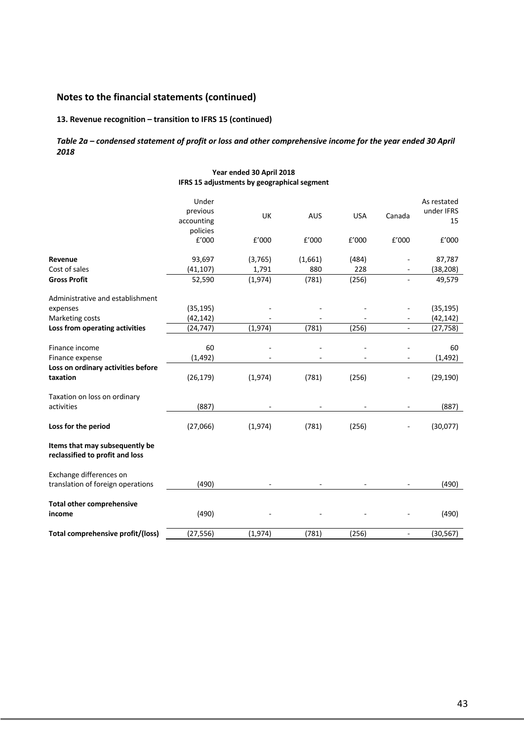### **13. Revenue recognition – transition to IFRS 15 (continued)**

#### *Table 2a – condensed statement of profit or loss and other comprehensive income for the year ended 30 April 2018*

#### **Year ended 30 April 2018 IFRS 15 adjustments by geographical segment**

|                                                                   | Under<br>previous<br>accounting<br>policies | UK      | <b>AUS</b> | <b>USA</b> | Canada                   | As restated<br>under IFRS<br>15 |
|-------------------------------------------------------------------|---------------------------------------------|---------|------------|------------|--------------------------|---------------------------------|
|                                                                   | £'000                                       | f'000   | f'000      | f'000      | £'000                    | £'000                           |
| Revenue                                                           | 93,697                                      | (3,765) | (1,661)    | (484)      |                          | 87,787                          |
| Cost of sales                                                     | (41, 107)                                   | 1,791   | 880        | 228        |                          | (38, 208)                       |
| <b>Gross Profit</b>                                               | 52,590                                      | (1,974) | (781)      | (256)      |                          | 49,579                          |
| Administrative and establishment                                  |                                             |         |            |            |                          |                                 |
| expenses                                                          | (35, 195)                                   |         |            |            |                          | (35, 195)                       |
| Marketing costs                                                   | (42, 142)                                   |         |            |            |                          | (42, 142)                       |
| Loss from operating activities                                    | (24, 747)                                   | (1,974) | (781)      | (256)      | ÷,                       | (27, 758)                       |
| Finance income                                                    | 60                                          |         |            |            |                          | 60                              |
| Finance expense                                                   | (1, 492)                                    |         |            |            |                          | (1, 492)                        |
| Loss on ordinary activities before                                |                                             |         |            |            |                          |                                 |
| taxation                                                          | (26, 179)                                   | (1,974) | (781)      | (256)      |                          | (29, 190)                       |
| Taxation on loss on ordinary                                      |                                             |         |            |            |                          |                                 |
| activities                                                        | (887)                                       |         |            |            |                          | (887)                           |
| Loss for the period                                               | (27,066)                                    | (1,974) | (781)      | (256)      |                          | (30,077)                        |
| Items that may subsequently be<br>reclassified to profit and loss |                                             |         |            |            |                          |                                 |
| Exchange differences on<br>translation of foreign operations      | (490)                                       |         |            |            |                          | (490)                           |
| <b>Total other comprehensive</b><br>income                        | (490)                                       |         |            |            |                          | (490)                           |
| Total comprehensive profit/(loss)                                 | (27, 556)                                   | (1,974) | (781)      | (256)      | $\overline{\phantom{a}}$ | (30, 567)                       |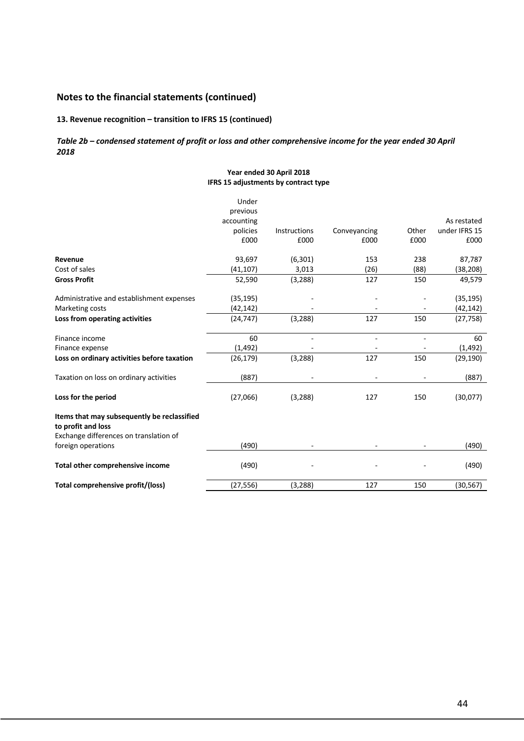### **13. Revenue recognition – transition to IFRS 15 (continued)**

#### *Table 2b – condensed statement of profit or loss and other comprehensive income for the year ended 30 April 2018*

#### **Year ended 30 April 2018 IFRS 15 adjustments by contract type**

|                                                                   | Under<br>previous |                |              |       |               |
|-------------------------------------------------------------------|-------------------|----------------|--------------|-------|---------------|
|                                                                   | accounting        |                |              |       | As restated   |
|                                                                   | policies          | Instructions   | Conveyancing | Other | under IFRS 15 |
|                                                                   | £000              | £000           | £000         | £000  | £000          |
| Revenue                                                           | 93,697            | (6, 301)       | 153          | 238   | 87,787        |
| Cost of sales                                                     | (41, 107)         | 3,013          | (26)         | (88)  | (38, 208)     |
| <b>Gross Profit</b>                                               | 52,590            | (3, 288)       | 127          | 150   | 49,579        |
| Administrative and establishment expenses                         | (35, 195)         |                |              |       | (35, 195)     |
| Marketing costs                                                   | (42, 142)         |                |              |       | (42, 142)     |
| Loss from operating activities                                    | (24, 747)         | (3, 288)       | 127          | 150   | (27, 758)     |
| Finance income                                                    | 60                | $\blacksquare$ | $\sim$       |       | 60            |
| Finance expense                                                   | (1, 492)          |                |              |       | (1, 492)      |
| Loss on ordinary activities before taxation                       | (26, 179)         | (3, 288)       | 127          | 150   | (29, 190)     |
| Taxation on loss on ordinary activities                           | (887)             |                |              |       | (887)         |
| Loss for the period                                               | (27,066)          | (3, 288)       | 127          | 150   | (30,077)      |
| Items that may subsequently be reclassified<br>to profit and loss |                   |                |              |       |               |
| Exchange differences on translation of                            |                   |                |              |       |               |
| foreign operations                                                | (490)             |                |              |       | (490)         |
| Total other comprehensive income                                  | (490)             |                |              |       | (490)         |
| Total comprehensive profit/(loss)                                 | (27, 556)         | (3, 288)       | 127          | 150   | (30, 567)     |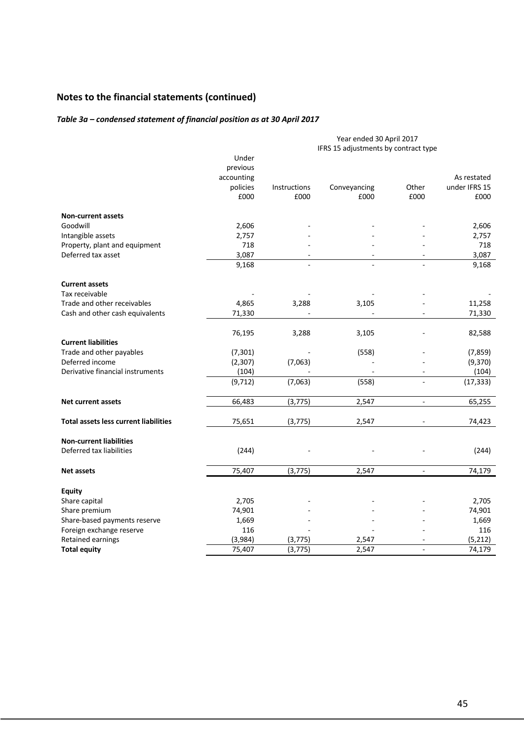### *Table 3a – condensed statement of financial position as at 30 April 2017*

|                                              | Year ended 30 April 2017<br>IFRS 15 adjustments by contract type |              |              |                |               |  |
|----------------------------------------------|------------------------------------------------------------------|--------------|--------------|----------------|---------------|--|
|                                              | Under                                                            |              |              |                |               |  |
|                                              | previous                                                         |              |              |                |               |  |
|                                              | accounting                                                       |              |              |                | As restated   |  |
|                                              | policies                                                         | Instructions | Conveyancing | Other          | under IFRS 15 |  |
|                                              | £000                                                             | £000         | £000         | £000           | £000          |  |
| <b>Non-current assets</b>                    |                                                                  |              |              |                |               |  |
| Goodwill                                     | 2,606                                                            |              |              |                | 2,606         |  |
| Intangible assets                            | 2,757                                                            |              |              |                | 2,757         |  |
| Property, plant and equipment                | 718                                                              |              |              |                | 718           |  |
| Deferred tax asset                           | 3,087                                                            |              |              |                | 3,087         |  |
|                                              | 9,168                                                            |              |              |                | 9,168         |  |
| <b>Current assets</b>                        |                                                                  |              |              |                |               |  |
| Tax receivable                               |                                                                  |              |              |                |               |  |
| Trade and other receivables                  | 4,865                                                            | 3,288        | 3,105        |                | 11,258        |  |
| Cash and other cash equivalents              | 71,330                                                           |              |              |                | 71,330        |  |
|                                              | 76,195                                                           | 3,288        | 3,105        |                | 82,588        |  |
| <b>Current liabilities</b>                   |                                                                  |              |              |                |               |  |
| Trade and other payables                     | (7, 301)                                                         |              | (558)        |                | (7, 859)      |  |
| Deferred income                              | (2, 307)                                                         | (7,063)      |              |                | (9,370)       |  |
| Derivative financial instruments             | (104)                                                            |              |              | $\blacksquare$ | (104)         |  |
|                                              | (9, 712)                                                         | (7,063)      | (558)        | $\blacksquare$ | (17, 333)     |  |
| <b>Net current assets</b>                    | 66,483                                                           | (3, 775)     | 2,547        | $\blacksquare$ | 65,255        |  |
|                                              |                                                                  |              |              |                |               |  |
| <b>Total assets less current liabilities</b> | 75,651                                                           | (3, 775)     | 2,547        |                | 74,423        |  |
| <b>Non-current liabilities</b>               |                                                                  |              |              |                |               |  |
| Deferred tax liabilities                     | (244)                                                            |              |              |                | (244)         |  |
| <b>Net assets</b>                            | 75,407                                                           | (3, 775)     | 2,547        | $\blacksquare$ | 74,179        |  |
| <b>Equity</b>                                |                                                                  |              |              |                |               |  |
| Share capital                                | 2,705                                                            |              |              |                | 2,705         |  |
| Share premium                                | 74,901                                                           |              |              |                | 74,901        |  |
| Share-based payments reserve                 | 1,669                                                            |              |              |                | 1,669         |  |
| Foreign exchange reserve                     | 116                                                              |              |              |                | 116           |  |
| Retained earnings                            | (3,984)                                                          | (3, 775)     | 2,547        |                | (5, 212)      |  |
| <b>Total equity</b>                          | 75,407                                                           | (3, 775)     | 2,547        | $\overline{a}$ | 74,179        |  |
|                                              |                                                                  |              |              |                |               |  |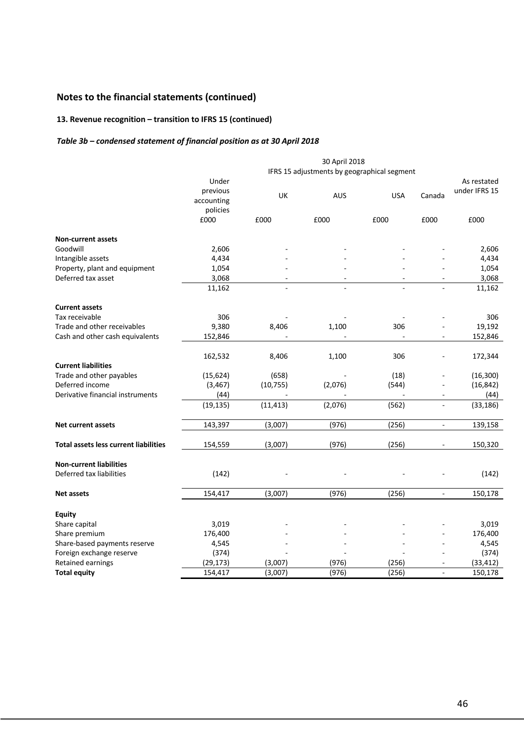### **13. Revenue recognition – transition to IFRS 15 (continued)**

### *Table 3b – condensed statement of financial position as at 30 April 2018*

|                                              | 30 April 2018                               |           |            |            |                          |               |
|----------------------------------------------|---------------------------------------------|-----------|------------|------------|--------------------------|---------------|
|                                              | IFRS 15 adjustments by geographical segment |           |            |            |                          |               |
|                                              | Under                                       |           |            |            |                          | As restated   |
|                                              | previous                                    | UK        | <b>AUS</b> | <b>USA</b> | Canada                   | under IFRS 15 |
|                                              | accounting                                  |           |            |            |                          |               |
|                                              | policies                                    |           |            |            |                          |               |
|                                              | £000                                        | £000      | £000       | £000       | £000                     | £000          |
| <b>Non-current assets</b>                    |                                             |           |            |            |                          |               |
| Goodwill                                     | 2,606                                       |           |            |            |                          | 2,606         |
| Intangible assets                            | 4,434                                       |           |            |            |                          | 4,434         |
| Property, plant and equipment                | 1,054                                       |           |            |            |                          | 1,054         |
| Deferred tax asset                           | 3,068                                       |           |            |            |                          | 3,068         |
|                                              | 11,162                                      |           |            |            |                          | 11,162        |
| <b>Current assets</b>                        |                                             |           |            |            |                          |               |
| Tax receivable                               | 306                                         |           |            |            |                          | 306           |
| Trade and other receivables                  | 9,380                                       | 8,406     | 1,100      | 306        |                          | 19,192        |
| Cash and other cash equivalents              | 152,846                                     |           |            |            |                          | 152,846       |
|                                              | 162,532                                     | 8,406     | 1,100      | 306        |                          | 172,344       |
| <b>Current liabilities</b>                   |                                             |           |            |            |                          |               |
| Trade and other payables                     | (15, 624)                                   | (658)     |            | (18)       |                          | (16, 300)     |
| Deferred income                              | (3, 467)                                    | (10, 755) | (2,076)    | (544)      |                          | (16, 842)     |
| Derivative financial instruments             | (44)                                        |           |            |            | $\overline{\phantom{a}}$ | (44)          |
|                                              | (19, 135)                                   | (11, 413) | (2,076)    | (562)      |                          | (33, 186)     |
| <b>Net current assets</b>                    | 143,397                                     | (3,007)   | (976)      | (256)      | $\overline{\phantom{a}}$ | 139,158       |
|                                              |                                             |           |            |            |                          |               |
| <b>Total assets less current liabilities</b> | 154,559                                     | (3,007)   | (976)      | (256)      |                          | 150,320       |
| <b>Non-current liabilities</b>               |                                             |           |            |            |                          |               |
| Deferred tax liabilities                     | (142)                                       |           |            |            |                          | (142)         |
| <b>Net assets</b>                            | 154,417                                     | (3,007)   | (976)      | (256)      | $\blacksquare$           | 150,178       |
|                                              |                                             |           |            |            |                          |               |
| <b>Equity</b><br>Share capital               | 3,019                                       |           |            |            |                          | 3,019         |
|                                              | 176,400                                     |           |            |            |                          | 176,400       |
| Share premium                                |                                             |           |            |            |                          |               |
| Share-based payments reserve                 | 4,545                                       |           |            |            |                          | 4,545         |
| Foreign exchange reserve                     | (374)                                       |           |            |            |                          | (374)         |
| Retained earnings                            | (29, 173)                                   | (3,007)   | (976)      | (256)      |                          | (33, 412)     |
| <b>Total equity</b>                          | 154,417                                     | (3,007)   | (976)      | (256)      |                          | 150,178       |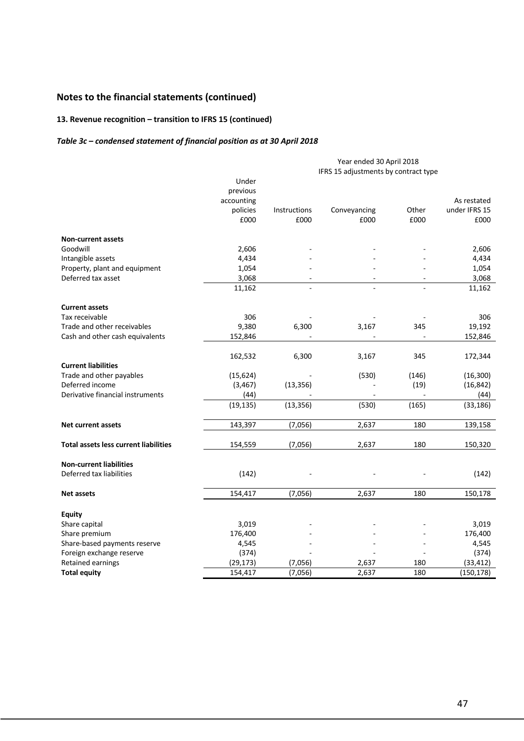### **13. Revenue recognition – transition to IFRS 15 (continued)**

### *Table 3c – condensed statement of financial position as at 30 April 2018*

|                                              |            | Year ended 30 April 2018             |              |       |               |  |
|----------------------------------------------|------------|--------------------------------------|--------------|-------|---------------|--|
|                                              |            | IFRS 15 adjustments by contract type |              |       |               |  |
|                                              | Under      |                                      |              |       |               |  |
|                                              | previous   |                                      |              |       |               |  |
|                                              | accounting |                                      |              |       | As restated   |  |
|                                              | policies   | Instructions                         | Conveyancing | Other | under IFRS 15 |  |
|                                              | £000       | £000                                 | £000         | £000  | £000          |  |
| <b>Non-current assets</b>                    |            |                                      |              |       |               |  |
| Goodwill                                     | 2,606      |                                      |              |       | 2,606         |  |
| Intangible assets                            | 4,434      |                                      |              |       | 4,434         |  |
| Property, plant and equipment                | 1,054      |                                      |              |       | 1,054         |  |
| Deferred tax asset                           | 3,068      |                                      |              |       | 3,068         |  |
|                                              | 11,162     |                                      |              |       | 11,162        |  |
| <b>Current assets</b>                        |            |                                      |              |       |               |  |
| Tax receivable                               | 306        |                                      |              |       | 306           |  |
| Trade and other receivables                  | 9,380      | 6,300                                | 3,167        | 345   | 19,192        |  |
| Cash and other cash equivalents              | 152,846    |                                      |              |       | 152,846       |  |
|                                              | 162,532    | 6,300                                | 3,167        | 345   | 172,344       |  |
| <b>Current liabilities</b>                   |            |                                      |              |       |               |  |
| Trade and other payables                     | (15, 624)  |                                      | (530)        | (146) | (16, 300)     |  |
| Deferred income                              | (3, 467)   | (13, 356)                            |              | (19)  | (16, 842)     |  |
| Derivative financial instruments             | (44)       |                                      |              |       | (44)          |  |
|                                              | (19, 135)  | (13, 356)                            | (530)        | (165) | (33, 186)     |  |
| <b>Net current assets</b>                    | 143,397    | (7,056)                              | 2,637        | 180   | 139,158       |  |
| <b>Total assets less current liabilities</b> | 154,559    | (7,056)                              | 2,637        | 180   | 150,320       |  |
|                                              |            |                                      |              |       |               |  |
| <b>Non-current liabilities</b>               |            |                                      |              |       |               |  |
| Deferred tax liabilities                     | (142)      |                                      |              |       | (142)         |  |
| <b>Net assets</b>                            | 154,417    | (7,056)                              | 2,637        | 180   | 150,178       |  |
| <b>Equity</b>                                |            |                                      |              |       |               |  |
| Share capital                                | 3,019      |                                      |              |       | 3,019         |  |
| Share premium                                | 176,400    |                                      |              |       | 176,400       |  |
| Share-based payments reserve                 | 4,545      |                                      |              |       | 4,545         |  |
| Foreign exchange reserve                     | (374)      |                                      |              |       | (374)         |  |
| Retained earnings                            | (29, 173)  | (7,056)                              | 2,637        | 180   | (33, 412)     |  |
| <b>Total equity</b>                          | 154,417    | (7,056)                              | 2,637        | 180   | (150, 178)    |  |